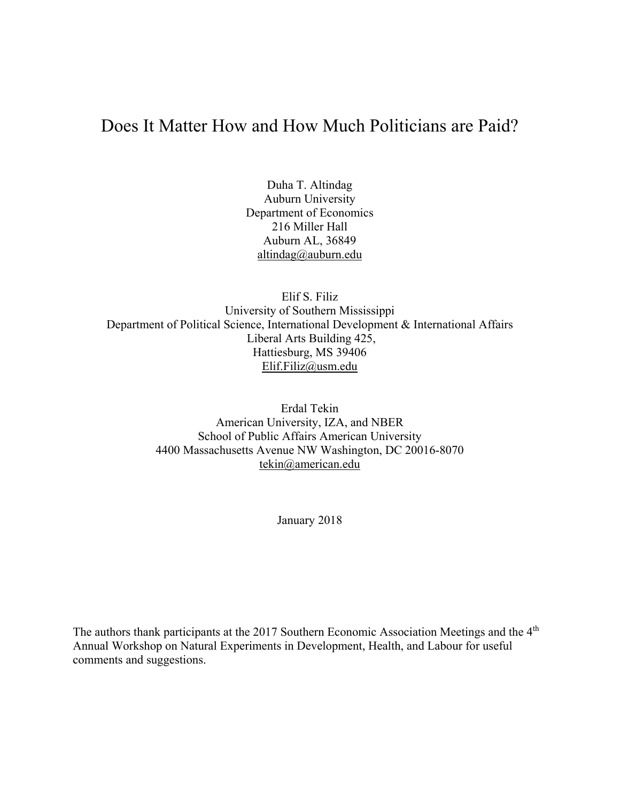# Does It Matter How and How Much Politicians are Paid?

Duha T. Altindag Auburn University Department of Economics 216 Miller Hall Auburn AL, 36849 altindag@auburn.edu

Elif S. Filiz University of Southern Mississippi Department of Political Science, International Development & International Affairs Liberal Arts Building 425, Hattiesburg, MS 39406 Elif.Filiz@usm.edu

> Erdal Tekin American University, IZA, and NBER School of Public Affairs American University 4400 Massachusetts Avenue NW Washington, DC 20016-8070 tekin@american.edu

> > January 2018

The authors thank participants at the 2017 Southern Economic Association Meetings and the 4<sup>th</sup> Annual Workshop on Natural Experiments in Development, Health, and Labour for useful comments and suggestions.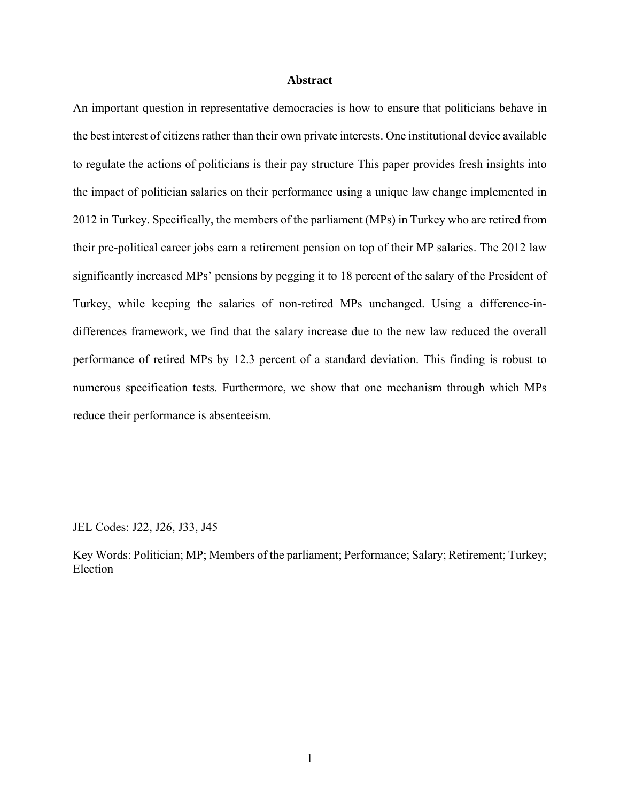#### **Abstract**

An important question in representative democracies is how to ensure that politicians behave in the best interest of citizens rather than their own private interests. One institutional device available to regulate the actions of politicians is their pay structure This paper provides fresh insights into the impact of politician salaries on their performance using a unique law change implemented in 2012 in Turkey. Specifically, the members of the parliament (MPs) in Turkey who are retired from their pre-political career jobs earn a retirement pension on top of their MP salaries. The 2012 law significantly increased MPs' pensions by pegging it to 18 percent of the salary of the President of Turkey, while keeping the salaries of non-retired MPs unchanged. Using a difference-indifferences framework, we find that the salary increase due to the new law reduced the overall performance of retired MPs by 12.3 percent of a standard deviation. This finding is robust to numerous specification tests. Furthermore, we show that one mechanism through which MPs reduce their performance is absenteeism.

JEL Codes: J22, J26, J33, J45

Key Words: Politician; MP; Members of the parliament; Performance; Salary; Retirement; Turkey; Election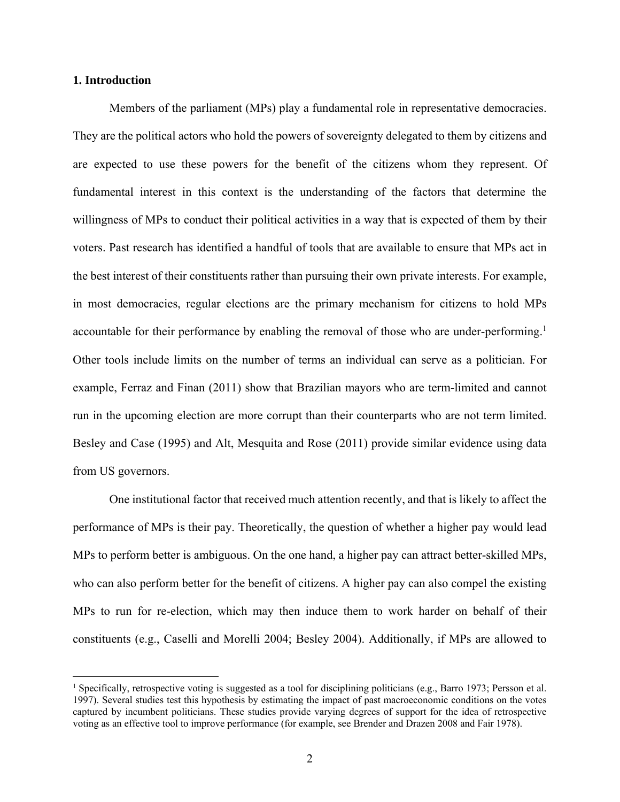# **1. Introduction**

 $\overline{a}$ 

Members of the parliament (MPs) play a fundamental role in representative democracies. They are the political actors who hold the powers of sovereignty delegated to them by citizens and are expected to use these powers for the benefit of the citizens whom they represent. Of fundamental interest in this context is the understanding of the factors that determine the willingness of MPs to conduct their political activities in a way that is expected of them by their voters. Past research has identified a handful of tools that are available to ensure that MPs act in the best interest of their constituents rather than pursuing their own private interests. For example, in most democracies, regular elections are the primary mechanism for citizens to hold MPs accountable for their performance by enabling the removal of those who are under-performing.<sup>1</sup> Other tools include limits on the number of terms an individual can serve as a politician. For example, Ferraz and Finan (2011) show that Brazilian mayors who are term-limited and cannot run in the upcoming election are more corrupt than their counterparts who are not term limited. Besley and Case (1995) and Alt, Mesquita and Rose (2011) provide similar evidence using data from US governors.

One institutional factor that received much attention recently, and that is likely to affect the performance of MPs is their pay. Theoretically, the question of whether a higher pay would lead MPs to perform better is ambiguous. On the one hand, a higher pay can attract better-skilled MPs, who can also perform better for the benefit of citizens. A higher pay can also compel the existing MPs to run for re-election, which may then induce them to work harder on behalf of their constituents (e.g., Caselli and Morelli 2004; Besley 2004). Additionally, if MPs are allowed to

<sup>&</sup>lt;sup>1</sup> Specifically, retrospective voting is suggested as a tool for disciplining politicians (e.g., Barro 1973; Persson et al. 1997). Several studies test this hypothesis by estimating the impact of past macroeconomic conditions on the votes captured by incumbent politicians. These studies provide varying degrees of support for the idea of retrospective voting as an effective tool to improve performance (for example, see Brender and Drazen 2008 and Fair 1978).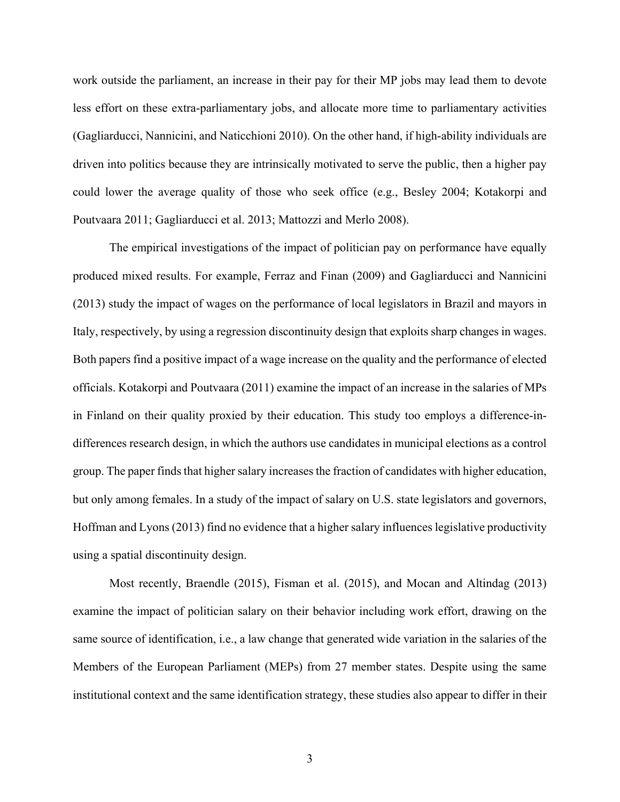work outside the parliament, an increase in their pay for their MP jobs may lead them to devote less effort on these extra-parliamentary jobs, and allocate more time to parliamentary activities (Gagliarducci, Nannicini, and Naticchioni 2010). On the other hand, if high-ability individuals are driven into politics because they are intrinsically motivated to serve the public, then a higher pay could lower the average quality of those who seek office (e.g., Besley 2004; Kotakorpi and Poutvaara 2011; Gagliarducci et al. 2013; Mattozzi and Merlo 2008).

The empirical investigations of the impact of politician pay on performance have equally produced mixed results. For example, Ferraz and Finan (2009) and Gagliarducci and Nannicini (2013) study the impact of wages on the performance of local legislators in Brazil and mayors in Italy, respectively, by using a regression discontinuity design that exploits sharp changes in wages. Both papers find a positive impact of a wage increase on the quality and the performance of elected officials. Kotakorpi and Poutvaara (2011) examine the impact of an increase in the salaries of MPs in Finland on their quality proxied by their education. This study too employs a difference-indifferences research design, in which the authors use candidates in municipal elections as a control group. The paper finds that higher salary increases the fraction of candidates with higher education, but only among females. In a study of the impact of salary on U.S. state legislators and governors, Hoffman and Lyons (2013) find no evidence that a higher salary influences legislative productivity using a spatial discontinuity design.

Most recently, Braendle (2015), Fisman et al. (2015), and Mocan and Altindag (2013) examine the impact of politician salary on their behavior including work effort, drawing on the same source of identification, i.e., a law change that generated wide variation in the salaries of the Members of the European Parliament (MEPs) from 27 member states. Despite using the same institutional context and the same identification strategy, these studies also appear to differ in their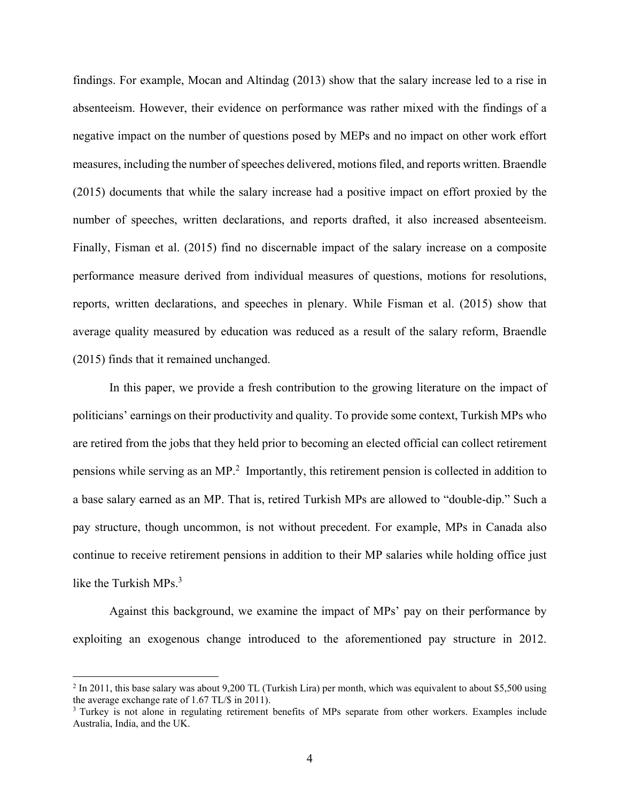findings. For example, Mocan and Altindag (2013) show that the salary increase led to a rise in absenteeism. However, their evidence on performance was rather mixed with the findings of a negative impact on the number of questions posed by MEPs and no impact on other work effort measures, including the number of speeches delivered, motions filed, and reports written. Braendle (2015) documents that while the salary increase had a positive impact on effort proxied by the number of speeches, written declarations, and reports drafted, it also increased absenteeism. Finally, Fisman et al. (2015) find no discernable impact of the salary increase on a composite performance measure derived from individual measures of questions, motions for resolutions, reports, written declarations, and speeches in plenary. While Fisman et al. (2015) show that average quality measured by education was reduced as a result of the salary reform, Braendle (2015) finds that it remained unchanged.

In this paper, we provide a fresh contribution to the growing literature on the impact of politicians' earnings on their productivity and quality. To provide some context, Turkish MPs who are retired from the jobs that they held prior to becoming an elected official can collect retirement pensions while serving as an MP.<sup>2</sup> Importantly, this retirement pension is collected in addition to a base salary earned as an MP. That is, retired Turkish MPs are allowed to "double-dip." Such a pay structure, though uncommon, is not without precedent. For example, MPs in Canada also continue to receive retirement pensions in addition to their MP salaries while holding office just like the Turkish MPs.<sup>3</sup>

Against this background, we examine the impact of MPs' pay on their performance by exploiting an exogenous change introduced to the aforementioned pay structure in 2012.

 $^2$  In 2011, this base salary was about 9,200 TL (Turkish Lira) per month, which was equivalent to about \$5,500 using the average exchange rate of 1.67 TL/\$ in 2011).<br><sup>3</sup> Turkey is not alone in regulating retirement benefits of MPs separate from other workers. Examples include

Australia, India, and the UK.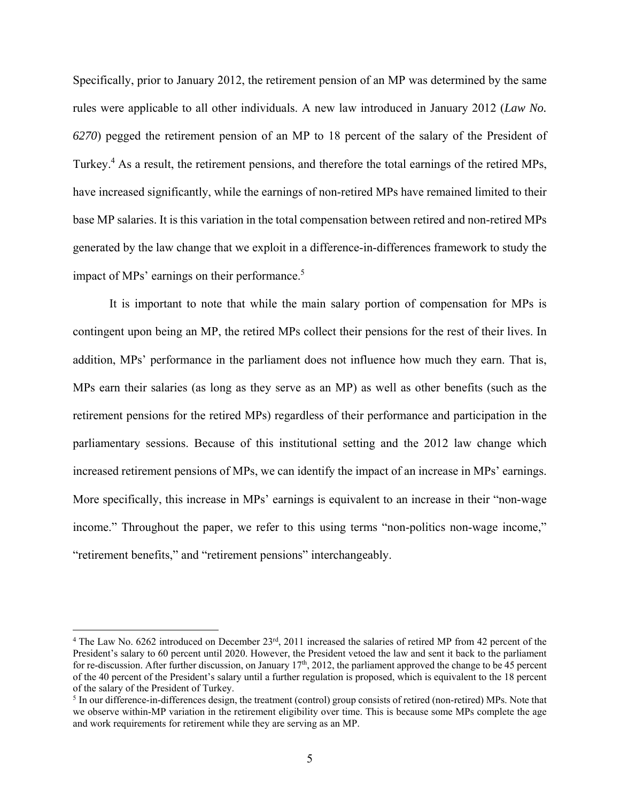Specifically, prior to January 2012, the retirement pension of an MP was determined by the same rules were applicable to all other individuals. A new law introduced in January 2012 (*Law No. 6270*) pegged the retirement pension of an MP to 18 percent of the salary of the President of Turkey.<sup>4</sup> As a result, the retirement pensions, and therefore the total earnings of the retired MPs, have increased significantly, while the earnings of non-retired MPs have remained limited to their base MP salaries. It is this variation in the total compensation between retired and non-retired MPs generated by the law change that we exploit in a difference-in-differences framework to study the impact of MPs' earnings on their performance.<sup>5</sup>

It is important to note that while the main salary portion of compensation for MPs is contingent upon being an MP, the retired MPs collect their pensions for the rest of their lives. In addition, MPs' performance in the parliament does not influence how much they earn. That is, MPs earn their salaries (as long as they serve as an MP) as well as other benefits (such as the retirement pensions for the retired MPs) regardless of their performance and participation in the parliamentary sessions. Because of this institutional setting and the 2012 law change which increased retirement pensions of MPs, we can identify the impact of an increase in MPs' earnings. More specifically, this increase in MPs' earnings is equivalent to an increase in their "non-wage income." Throughout the paper, we refer to this using terms "non-politics non-wage income," "retirement benefits," and "retirement pensions" interchangeably.

<sup>&</sup>lt;sup>4</sup> The Law No. 6262 introduced on December  $23<sup>rd</sup>$ , 2011 increased the salaries of retired MP from 42 percent of the President's salary to 60 percent until 2020. However, the President vetoed the law and sent it back to the parliament for re-discussion. After further discussion, on January 17<sup>th</sup>, 2012, the parliament approved the change to be 45 percent of the 40 percent of the President's salary until a further regulation is proposed, which is equivalent to the 18 percent of the salary of the President of Turkey.

 $<sup>5</sup>$  In our difference-in-differences design, the treatment (control) group consists of retired (non-retired) MPs. Note that</sup> we observe within-MP variation in the retirement eligibility over time. This is because some MPs complete the age and work requirements for retirement while they are serving as an MP.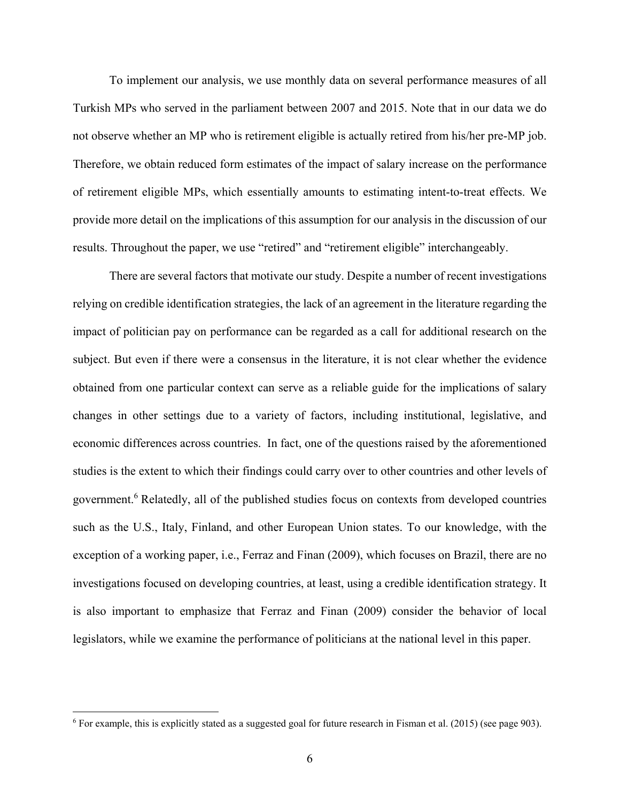To implement our analysis, we use monthly data on several performance measures of all Turkish MPs who served in the parliament between 2007 and 2015. Note that in our data we do not observe whether an MP who is retirement eligible is actually retired from his/her pre-MP job. Therefore, we obtain reduced form estimates of the impact of salary increase on the performance of retirement eligible MPs, which essentially amounts to estimating intent-to-treat effects. We provide more detail on the implications of this assumption for our analysis in the discussion of our results. Throughout the paper, we use "retired" and "retirement eligible" interchangeably.

 There are several factors that motivate our study. Despite a number of recent investigations relying on credible identification strategies, the lack of an agreement in the literature regarding the impact of politician pay on performance can be regarded as a call for additional research on the subject. But even if there were a consensus in the literature, it is not clear whether the evidence obtained from one particular context can serve as a reliable guide for the implications of salary changes in other settings due to a variety of factors, including institutional, legislative, and economic differences across countries. In fact, one of the questions raised by the aforementioned studies is the extent to which their findings could carry over to other countries and other levels of government.<sup>6</sup> Relatedly, all of the published studies focus on contexts from developed countries such as the U.S., Italy, Finland, and other European Union states. To our knowledge, with the exception of a working paper, i.e., Ferraz and Finan (2009), which focuses on Brazil, there are no investigations focused on developing countries, at least, using a credible identification strategy. It is also important to emphasize that Ferraz and Finan (2009) consider the behavior of local legislators, while we examine the performance of politicians at the national level in this paper.

<sup>&</sup>lt;sup>6</sup> For example, this is explicitly stated as a suggested goal for future research in Fisman et al. (2015) (see page 903).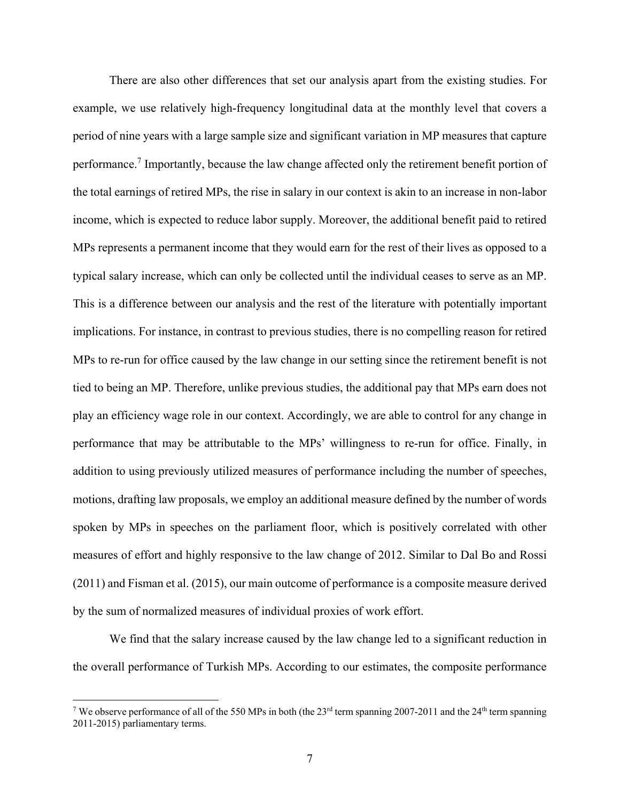There are also other differences that set our analysis apart from the existing studies. For example, we use relatively high-frequency longitudinal data at the monthly level that covers a period of nine years with a large sample size and significant variation in MP measures that capture performance.<sup>7</sup> Importantly, because the law change affected only the retirement benefit portion of the total earnings of retired MPs, the rise in salary in our context is akin to an increase in non-labor income, which is expected to reduce labor supply. Moreover, the additional benefit paid to retired MPs represents a permanent income that they would earn for the rest of their lives as opposed to a typical salary increase, which can only be collected until the individual ceases to serve as an MP. This is a difference between our analysis and the rest of the literature with potentially important implications. For instance, in contrast to previous studies, there is no compelling reason for retired MPs to re-run for office caused by the law change in our setting since the retirement benefit is not tied to being an MP. Therefore, unlike previous studies, the additional pay that MPs earn does not play an efficiency wage role in our context. Accordingly, we are able to control for any change in performance that may be attributable to the MPs' willingness to re-run for office. Finally, in addition to using previously utilized measures of performance including the number of speeches, motions, drafting law proposals, we employ an additional measure defined by the number of words spoken by MPs in speeches on the parliament floor, which is positively correlated with other measures of effort and highly responsive to the law change of 2012. Similar to Dal Bo and Rossi (2011) and Fisman et al. (2015), our main outcome of performance is a composite measure derived by the sum of normalized measures of individual proxies of work effort.

 We find that the salary increase caused by the law change led to a significant reduction in the overall performance of Turkish MPs. According to our estimates, the composite performance

<sup>&</sup>lt;sup>7</sup> We observe performance of all of the 550 MPs in both (the 23<sup>rd</sup> term spanning 2007-2011 and the 24<sup>th</sup> term spanning <sup>7</sup> 2011-2015) parliamentary terms.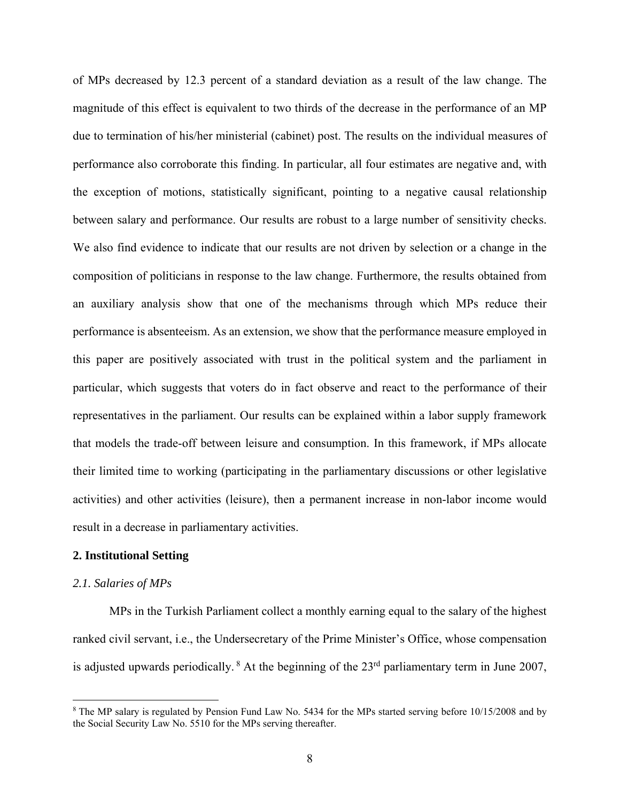of MPs decreased by 12.3 percent of a standard deviation as a result of the law change. The magnitude of this effect is equivalent to two thirds of the decrease in the performance of an MP due to termination of his/her ministerial (cabinet) post. The results on the individual measures of performance also corroborate this finding. In particular, all four estimates are negative and, with the exception of motions, statistically significant, pointing to a negative causal relationship between salary and performance. Our results are robust to a large number of sensitivity checks. We also find evidence to indicate that our results are not driven by selection or a change in the composition of politicians in response to the law change. Furthermore, the results obtained from an auxiliary analysis show that one of the mechanisms through which MPs reduce their performance is absenteeism. As an extension, we show that the performance measure employed in this paper are positively associated with trust in the political system and the parliament in particular, which suggests that voters do in fact observe and react to the performance of their representatives in the parliament. Our results can be explained within a labor supply framework that models the trade-off between leisure and consumption. In this framework, if MPs allocate their limited time to working (participating in the parliamentary discussions or other legislative activities) and other activities (leisure), then a permanent increase in non-labor income would result in a decrease in parliamentary activities.

# **2. Institutional Setting**

#### *2.1. Salaries of MPs*

 MPs in the Turkish Parliament collect a monthly earning equal to the salary of the highest ranked civil servant, i.e., the Undersecretary of the Prime Minister's Office, whose compensation is adjusted upwards periodically.  $8$  At the beginning of the 23<sup>rd</sup> parliamentary term in June 2007,

<sup>&</sup>lt;sup>8</sup> The MP salary is regulated by Pension Fund Law No. 5434 for the MPs started serving before 10/15/2008 and by the Social Security Law No. 5510 for the MPs serving thereafter.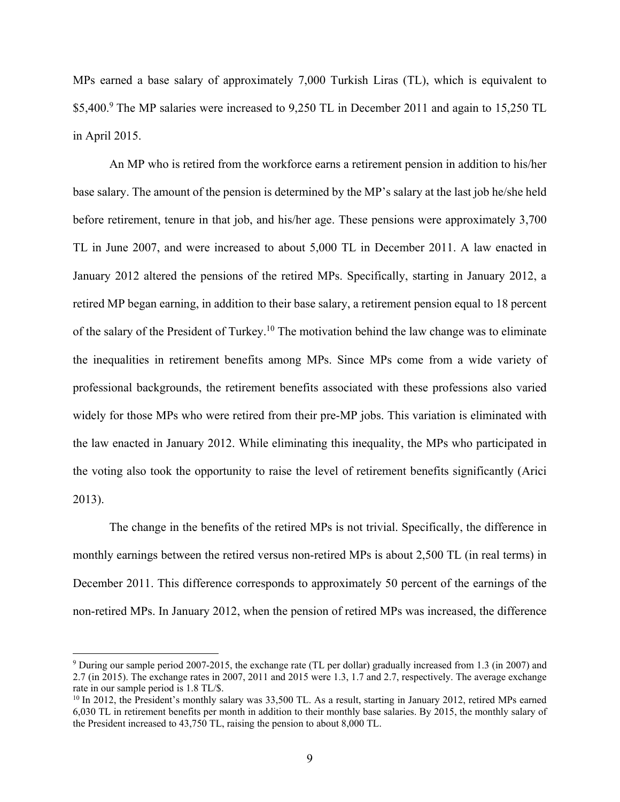MPs earned a base salary of approximately 7,000 Turkish Liras (TL), which is equivalent to \$5,400.<sup>9</sup> The MP salaries were increased to 9,250 TL in December 2011 and again to 15,250 TL in April 2015.

 An MP who is retired from the workforce earns a retirement pension in addition to his/her base salary. The amount of the pension is determined by the MP's salary at the last job he/she held before retirement, tenure in that job, and his/her age. These pensions were approximately 3,700 TL in June 2007, and were increased to about 5,000 TL in December 2011. A law enacted in January 2012 altered the pensions of the retired MPs. Specifically, starting in January 2012, a retired MP began earning, in addition to their base salary, a retirement pension equal to 18 percent of the salary of the President of Turkey.10 The motivation behind the law change was to eliminate the inequalities in retirement benefits among MPs. Since MPs come from a wide variety of professional backgrounds, the retirement benefits associated with these professions also varied widely for those MPs who were retired from their pre-MP jobs. This variation is eliminated with the law enacted in January 2012. While eliminating this inequality, the MPs who participated in the voting also took the opportunity to raise the level of retirement benefits significantly (Arici 2013).

The change in the benefits of the retired MPs is not trivial. Specifically, the difference in monthly earnings between the retired versus non-retired MPs is about 2,500 TL (in real terms) in December 2011. This difference corresponds to approximately 50 percent of the earnings of the non-retired MPs. In January 2012, when the pension of retired MPs was increased, the difference

<sup>9</sup> During our sample period 2007-2015, the exchange rate (TL per dollar) gradually increased from 1.3 (in 2007) and 2.7 (in 2015). The exchange rates in 2007, 2011 and 2015 were 1.3, 1.7 and 2.7, respectively. The average exchange rate in our sample period is 1.8 TL/\$.

<sup>&</sup>lt;sup>10</sup> In 2012, the President's monthly salary was 33,500 TL. As a result, starting in January 2012, retired MPs earned 6,030 TL in retirement benefits per month in addition to their monthly base salaries. By 2015, the monthly salary of the President increased to 43,750 TL, raising the pension to about 8,000 TL.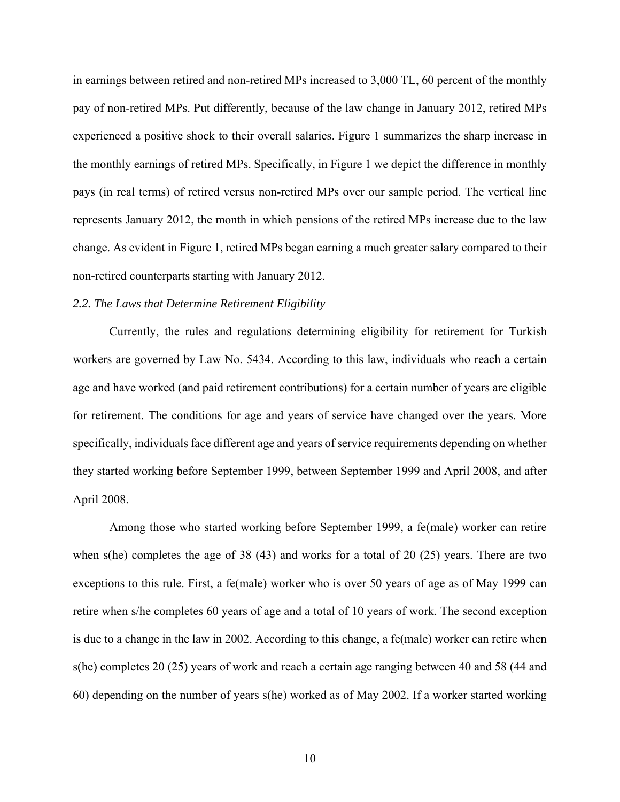in earnings between retired and non-retired MPs increased to 3,000 TL, 60 percent of the monthly pay of non-retired MPs. Put differently, because of the law change in January 2012, retired MPs experienced a positive shock to their overall salaries. Figure 1 summarizes the sharp increase in the monthly earnings of retired MPs. Specifically, in Figure 1 we depict the difference in monthly pays (in real terms) of retired versus non-retired MPs over our sample period. The vertical line represents January 2012, the month in which pensions of the retired MPs increase due to the law change. As evident in Figure 1, retired MPs began earning a much greater salary compared to their non-retired counterparts starting with January 2012.

# *2.2. The Laws that Determine Retirement Eligibility*

Currently, the rules and regulations determining eligibility for retirement for Turkish workers are governed by Law No. 5434. According to this law, individuals who reach a certain age and have worked (and paid retirement contributions) for a certain number of years are eligible for retirement. The conditions for age and years of service have changed over the years. More specifically, individuals face different age and years of service requirements depending on whether they started working before September 1999, between September 1999 and April 2008, and after April 2008.

Among those who started working before September 1999, a fe(male) worker can retire when s(he) completes the age of 38 (43) and works for a total of 20 (25) years. There are two exceptions to this rule. First, a fe(male) worker who is over 50 years of age as of May 1999 can retire when s/he completes 60 years of age and a total of 10 years of work. The second exception is due to a change in the law in 2002. According to this change, a fe(male) worker can retire when s(he) completes 20 (25) years of work and reach a certain age ranging between 40 and 58 (44 and 60) depending on the number of years s(he) worked as of May 2002. If a worker started working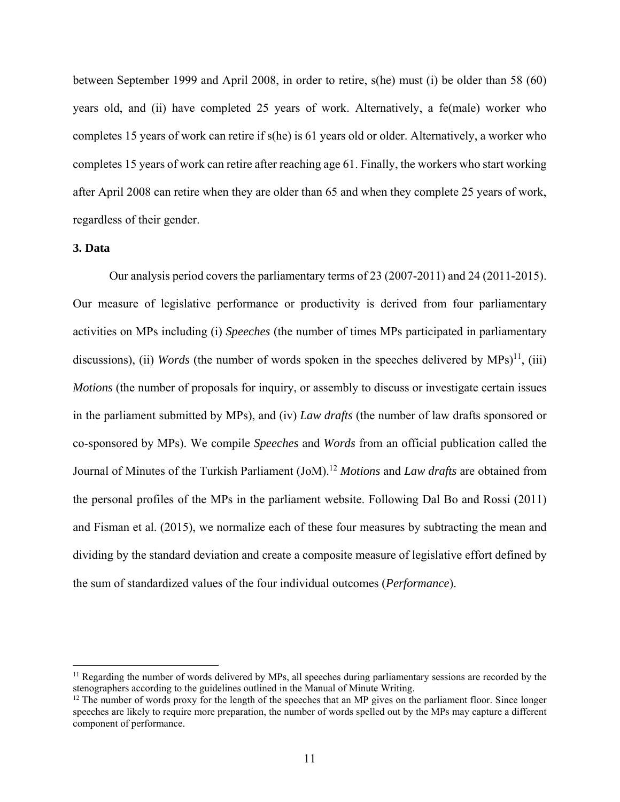between September 1999 and April 2008, in order to retire, s(he) must (i) be older than 58 (60) years old, and (ii) have completed 25 years of work. Alternatively, a fe(male) worker who completes 15 years of work can retire if s(he) is 61 years old or older. Alternatively, a worker who completes 15 years of work can retire after reaching age 61. Finally, the workers who start working after April 2008 can retire when they are older than 65 and when they complete 25 years of work, regardless of their gender.

# **3. Data**

 $\overline{a}$ 

 Our analysis period covers the parliamentary terms of 23 (2007-2011) and 24 (2011-2015). Our measure of legislative performance or productivity is derived from four parliamentary activities on MPs including (i) *Speeches* (the number of times MPs participated in parliamentary discussions), (ii) *Words* (the number of words spoken in the speeches delivered by MPs)<sup>11</sup>, (iii) *Motions* (the number of proposals for inquiry, or assembly to discuss or investigate certain issues in the parliament submitted by MPs), and (iv) *Law drafts* (the number of law drafts sponsored or co-sponsored by MPs). We compile *Speeches* and *Words* from an official publication called the Journal of Minutes of the Turkish Parliament (JoM).12 *Motions* and *Law drafts* are obtained from the personal profiles of the MPs in the parliament website. Following Dal Bo and Rossi (2011) and Fisman et al. (2015), we normalize each of these four measures by subtracting the mean and dividing by the standard deviation and create a composite measure of legislative effort defined by the sum of standardized values of the four individual outcomes (*Performance*).

<sup>&</sup>lt;sup>11</sup> Regarding the number of words delivered by MPs, all speeches during parliamentary sessions are recorded by the stenographers according to the guidelines outlined in the Manual of Minute Writing.<br><sup>12</sup> The number of words proxy for the length of the speeches that an MP gives on the parliament floor. Since longer

speeches are likely to require more preparation, the number of words spelled out by the MPs may capture a different component of performance.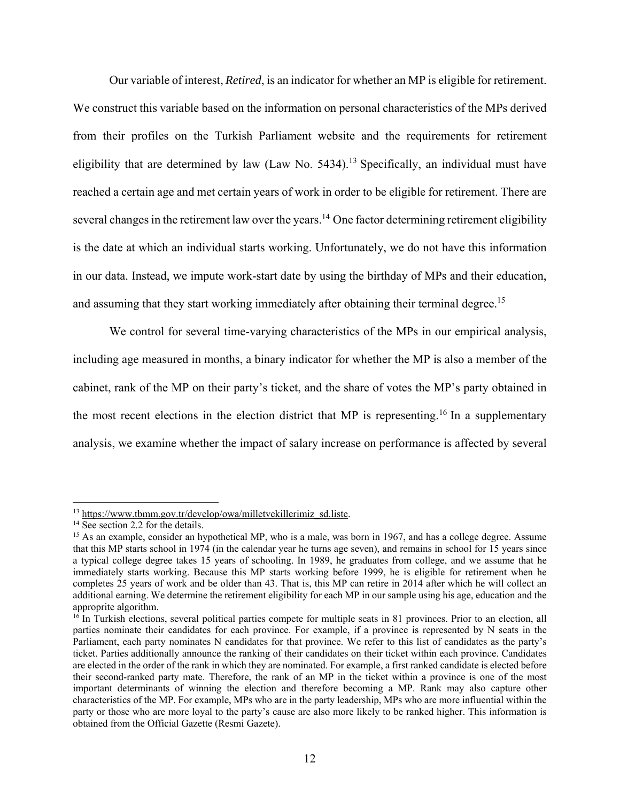Our variable of interest, *Retired*, is an indicator for whether an MP is eligible for retirement. We construct this variable based on the information on personal characteristics of the MPs derived from their profiles on the Turkish Parliament website and the requirements for retirement eligibility that are determined by law (Law No.  $5434$ ).<sup>13</sup> Specifically, an individual must have reached a certain age and met certain years of work in order to be eligible for retirement. There are several changes in the retirement law over the years.<sup>14</sup> One factor determining retirement eligibility is the date at which an individual starts working. Unfortunately, we do not have this information in our data. Instead, we impute work-start date by using the birthday of MPs and their education, and assuming that they start working immediately after obtaining their terminal degree.<sup>15</sup>

We control for several time-varying characteristics of the MPs in our empirical analysis, including age measured in months, a binary indicator for whether the MP is also a member of the cabinet, rank of the MP on their party's ticket, and the share of votes the MP's party obtained in the most recent elections in the election district that MP is representing.<sup>16</sup> In a supplementary analysis, we examine whether the impact of salary increase on performance is affected by several

<sup>&</sup>lt;sup>13</sup> https://www.tbmm.gov.tr/develop/owa/milletvekillerimiz\_sd.liste. <sup>14</sup> See section 2.2 for the details.

<sup>&</sup>lt;sup>15</sup> As an example, consider an hypothetical MP, who is a male, was born in 1967, and has a college degree. Assume that this MP starts school in 1974 (in the calendar year he turns age seven), and remains in school for 15 years since a typical college degree takes 15 years of schooling. In 1989, he graduates from college, and we assume that he immediately starts working. Because this MP starts working before 1999, he is eligible for retirement when he completes 25 years of work and be older than 43. That is, this MP can retire in 2014 after which he will collect an additional earning. We determine the retirement eligibility for each MP in our sample using his age, education and the approprite algorithm.

 $16$  In Turkish elections, several political parties compete for multiple seats in 81 provinces. Prior to an election, all parties nominate their candidates for each province. For example, if a province is represented by N seats in the Parliament, each party nominates N candidates for that province. We refer to this list of candidates as the party's ticket. Parties additionally announce the ranking of their candidates on their ticket within each province. Candidates are elected in the order of the rank in which they are nominated. For example, a first ranked candidate is elected before their second-ranked party mate. Therefore, the rank of an MP in the ticket within a province is one of the most important determinants of winning the election and therefore becoming a MP. Rank may also capture other characteristics of the MP. For example, MPs who are in the party leadership, MPs who are more influential within the party or those who are more loyal to the party's cause are also more likely to be ranked higher. This information is obtained from the Official Gazette (Resmi Gazete).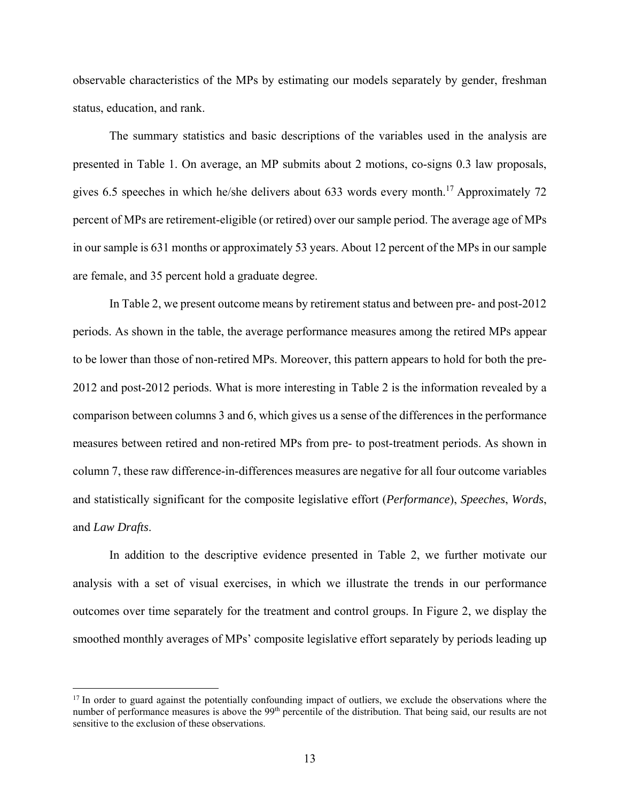observable characteristics of the MPs by estimating our models separately by gender, freshman status, education, and rank.

The summary statistics and basic descriptions of the variables used in the analysis are presented in Table 1. On average, an MP submits about 2 motions, co-signs 0.3 law proposals, gives 6.5 speeches in which he/she delivers about 633 words every month.<sup>17</sup> Approximately 72 percent of MPs are retirement-eligible (or retired) over our sample period. The average age of MPs in our sample is 631 months or approximately 53 years. About 12 percent of the MPs in our sample are female, and 35 percent hold a graduate degree.

In Table 2, we present outcome means by retirement status and between pre- and post-2012 periods. As shown in the table, the average performance measures among the retired MPs appear to be lower than those of non-retired MPs. Moreover, this pattern appears to hold for both the pre-2012 and post-2012 periods. What is more interesting in Table 2 is the information revealed by a comparison between columns 3 and 6, which gives us a sense of the differences in the performance measures between retired and non-retired MPs from pre- to post-treatment periods. As shown in column 7, these raw difference-in-differences measures are negative for all four outcome variables and statistically significant for the composite legislative effort (*Performance*), *Speeches*, *Words*, and *Law Drafts*.

In addition to the descriptive evidence presented in Table 2, we further motivate our analysis with a set of visual exercises, in which we illustrate the trends in our performance outcomes over time separately for the treatment and control groups. In Figure 2, we display the smoothed monthly averages of MPs' composite legislative effort separately by periods leading up

<sup>&</sup>lt;sup>17</sup> In order to guard against the potentially confounding impact of outliers, we exclude the observations where the number of performance measures is above the 99<sup>th</sup> percentile of the distribution. That being said, our results are not sensitive to the exclusion of these observations.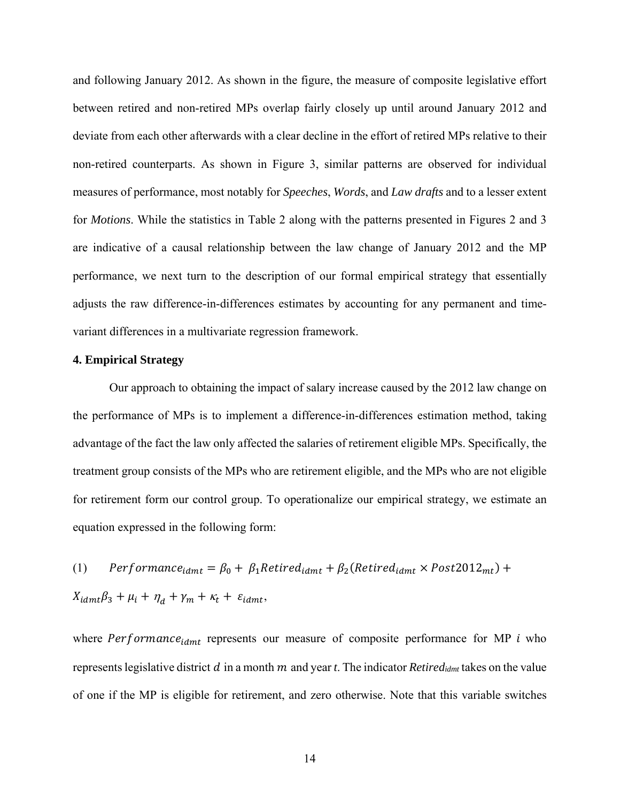and following January 2012. As shown in the figure, the measure of composite legislative effort between retired and non-retired MPs overlap fairly closely up until around January 2012 and deviate from each other afterwards with a clear decline in the effort of retired MPs relative to their non-retired counterparts. As shown in Figure 3, similar patterns are observed for individual measures of performance, most notably for *Speeches*, *Words*, and *Law drafts* and to a lesser extent for *Motions*. While the statistics in Table 2 along with the patterns presented in Figures 2 and 3 are indicative of a causal relationship between the law change of January 2012 and the MP performance, we next turn to the description of our formal empirical strategy that essentially adjusts the raw difference-in-differences estimates by accounting for any permanent and timevariant differences in a multivariate regression framework.

# **4. Empirical Strategy**

Our approach to obtaining the impact of salary increase caused by the 2012 law change on the performance of MPs is to implement a difference-in-differences estimation method, taking advantage of the fact the law only affected the salaries of retirement eligible MPs. Specifically, the treatment group consists of the MPs who are retirement eligible, and the MPs who are not eligible for retirement form our control group. To operationalize our empirical strategy, we estimate an equation expressed in the following form:

(1)  $Performance_{idmt} = \beta_0 + \beta_1 Retired_{idmt} + \beta_2(Retired_{idmt} \times Post2012_{mt}) +$  $X_{idmt}\beta_3 + \mu_i + \eta_d + \gamma_m + \kappa_t + \varepsilon_{idmt},$ 

where  $Performance_{idmt}$  represents our measure of composite performance for MP  $i$  who represents legislative district  $d$  in a month  $m$  and year  $t$ . The indicator  $Retired_{idmt}$  takes on the value of one if the MP is eligible for retirement, and zero otherwise. Note that this variable switches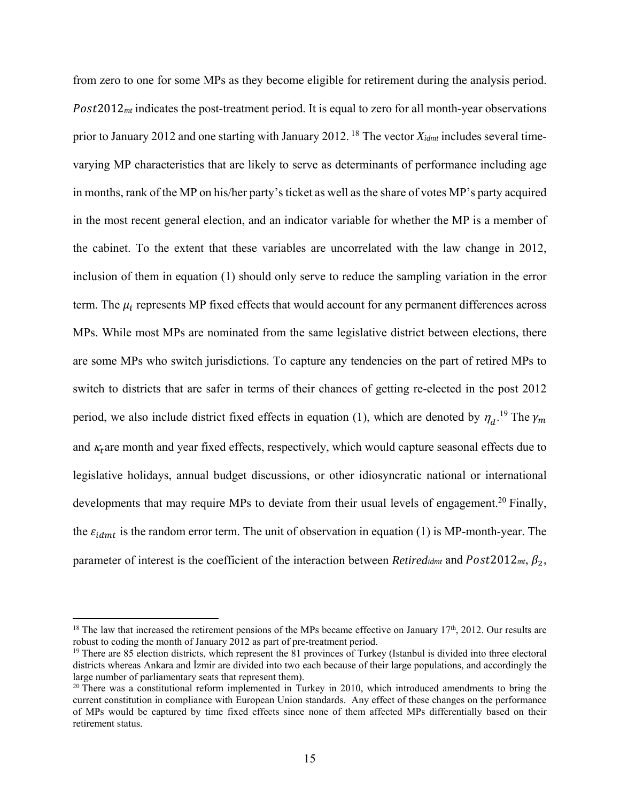from zero to one for some MPs as they become eligible for retirement during the analysis period. Post 2012<sub>*mt*</sub> indicates the post-treatment period. It is equal to zero for all month-year observations prior to January 2012 and one starting with January 2012. 18 The vector *Xidmt* includes several timevarying MP characteristics that are likely to serve as determinants of performance including age in months, rank of the MP on his/her party's ticket as well as the share of votes MP's party acquired in the most recent general election, and an indicator variable for whether the MP is a member of the cabinet. To the extent that these variables are uncorrelated with the law change in 2012, inclusion of them in equation (1) should only serve to reduce the sampling variation in the error term. The  $\mu_i$  represents MP fixed effects that would account for any permanent differences across MPs. While most MPs are nominated from the same legislative district between elections, there are some MPs who switch jurisdictions. To capture any tendencies on the part of retired MPs to switch to districts that are safer in terms of their chances of getting re-elected in the post 2012 period, we also include district fixed effects in equation (1), which are denoted by  $\eta_a$ .<sup>19</sup> The  $\gamma_m$ and  $\kappa_t$  are month and year fixed effects, respectively, which would capture seasonal effects due to legislative holidays, annual budget discussions, or other idiosyncratic national or international developments that may require MPs to deviate from their usual levels of engagement.<sup>20</sup> Finally, the  $\varepsilon_{idmt}$  is the random error term. The unit of observation in equation (1) is MP-month-year. The parameter of interest is the coefficient of the interaction between *Retiredidmt* and  $Post2012<sub>mt</sub>, \beta<sub>2</sub>,$ 

1

<sup>&</sup>lt;sup>18</sup> The law that increased the retirement pensions of the MPs became effective on January  $17<sup>th</sup>$ , 2012. Our results are robust to coding the month of January 2012 as part of pre-treatment period.

 $19$  There are 85 election districts, which represent the 81 provinces of Turkey (Istanbul is divided into three electoral districts whereas Ankara and İzmir are divided into two each because of their large populations, and accordingly the large number of parliamentary seats that represent them).<br><sup>20</sup> There was a constitutional reform implemented in Turkey in 2010, which introduced amendments to bring the

current constitution in compliance with European Union standards. Any effect of these changes on the performance of MPs would be captured by time fixed effects since none of them affected MPs differentially based on their retirement status.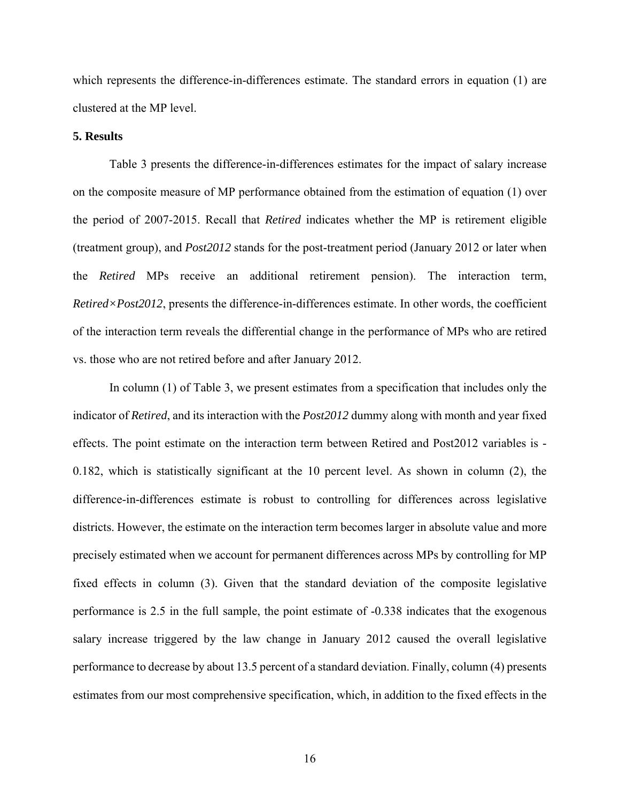which represents the difference-in-differences estimate. The standard errors in equation (1) are clustered at the MP level.

# **5. Results**

 Table 3 presents the difference-in-differences estimates for the impact of salary increase on the composite measure of MP performance obtained from the estimation of equation (1) over the period of 2007-2015. Recall that *Retired* indicates whether the MP is retirement eligible (treatment group), and *Post2012* stands for the post-treatment period (January 2012 or later when the *Retired* MPs receive an additional retirement pension). The interaction term, *Retired×Post2012*, presents the difference-in-differences estimate. In other words, the coefficient of the interaction term reveals the differential change in the performance of MPs who are retired vs. those who are not retired before and after January 2012.

In column (1) of Table 3, we present estimates from a specification that includes only the indicator of *Retired*, and its interaction with the *Post2012* dummy along with month and year fixed effects. The point estimate on the interaction term between Retired and Post2012 variables is - 0.182, which is statistically significant at the 10 percent level. As shown in column (2), the difference-in-differences estimate is robust to controlling for differences across legislative districts. However, the estimate on the interaction term becomes larger in absolute value and more precisely estimated when we account for permanent differences across MPs by controlling for MP fixed effects in column (3). Given that the standard deviation of the composite legislative performance is 2.5 in the full sample, the point estimate of -0.338 indicates that the exogenous salary increase triggered by the law change in January 2012 caused the overall legislative performance to decrease by about 13.5 percent of a standard deviation. Finally, column (4) presents estimates from our most comprehensive specification, which, in addition to the fixed effects in the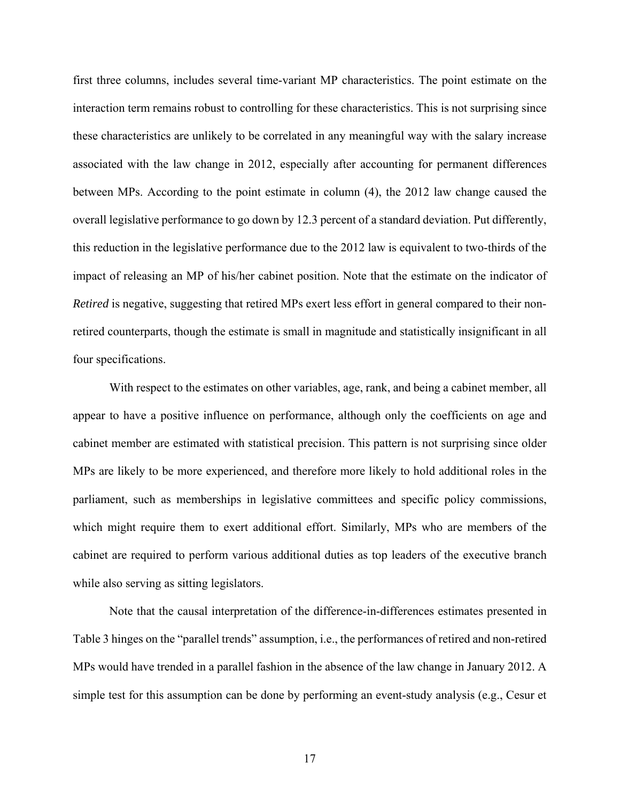first three columns, includes several time-variant MP characteristics. The point estimate on the interaction term remains robust to controlling for these characteristics. This is not surprising since these characteristics are unlikely to be correlated in any meaningful way with the salary increase associated with the law change in 2012, especially after accounting for permanent differences between MPs. According to the point estimate in column (4), the 2012 law change caused the overall legislative performance to go down by 12.3 percent of a standard deviation. Put differently, this reduction in the legislative performance due to the 2012 law is equivalent to two-thirds of the impact of releasing an MP of his/her cabinet position. Note that the estimate on the indicator of *Retired* is negative, suggesting that retired MPs exert less effort in general compared to their nonretired counterparts, though the estimate is small in magnitude and statistically insignificant in all four specifications.

With respect to the estimates on other variables, age, rank, and being a cabinet member, all appear to have a positive influence on performance, although only the coefficients on age and cabinet member are estimated with statistical precision. This pattern is not surprising since older MPs are likely to be more experienced, and therefore more likely to hold additional roles in the parliament, such as memberships in legislative committees and specific policy commissions, which might require them to exert additional effort. Similarly, MPs who are members of the cabinet are required to perform various additional duties as top leaders of the executive branch while also serving as sitting legislators.

Note that the causal interpretation of the difference-in-differences estimates presented in Table 3 hinges on the "parallel trends" assumption, i.e., the performances of retired and non-retired MPs would have trended in a parallel fashion in the absence of the law change in January 2012. A simple test for this assumption can be done by performing an event-study analysis (e.g., Cesur et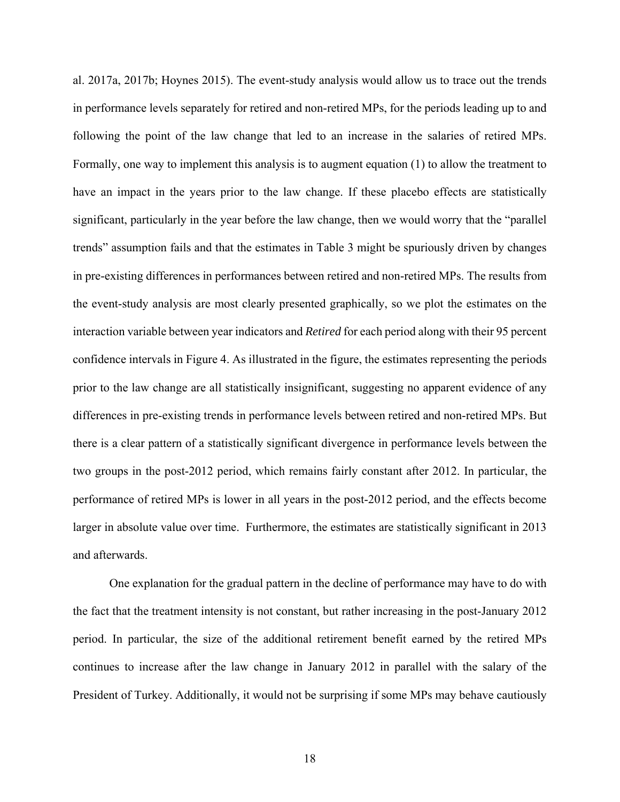al. 2017a, 2017b; Hoynes 2015). The event-study analysis would allow us to trace out the trends in performance levels separately for retired and non-retired MPs, for the periods leading up to and following the point of the law change that led to an increase in the salaries of retired MPs. Formally, one way to implement this analysis is to augment equation (1) to allow the treatment to have an impact in the years prior to the law change. If these placebo effects are statistically significant, particularly in the year before the law change, then we would worry that the "parallel trends" assumption fails and that the estimates in Table 3 might be spuriously driven by changes in pre-existing differences in performances between retired and non-retired MPs. The results from the event-study analysis are most clearly presented graphically, so we plot the estimates on the interaction variable between year indicators and *Retired* for each period along with their 95 percent confidence intervals in Figure 4. As illustrated in the figure, the estimates representing the periods prior to the law change are all statistically insignificant, suggesting no apparent evidence of any differences in pre-existing trends in performance levels between retired and non-retired MPs. But there is a clear pattern of a statistically significant divergence in performance levels between the two groups in the post-2012 period, which remains fairly constant after 2012. In particular, the performance of retired MPs is lower in all years in the post-2012 period, and the effects become larger in absolute value over time. Furthermore, the estimates are statistically significant in 2013 and afterwards.

One explanation for the gradual pattern in the decline of performance may have to do with the fact that the treatment intensity is not constant, but rather increasing in the post-January 2012 period. In particular, the size of the additional retirement benefit earned by the retired MPs continues to increase after the law change in January 2012 in parallel with the salary of the President of Turkey. Additionally, it would not be surprising if some MPs may behave cautiously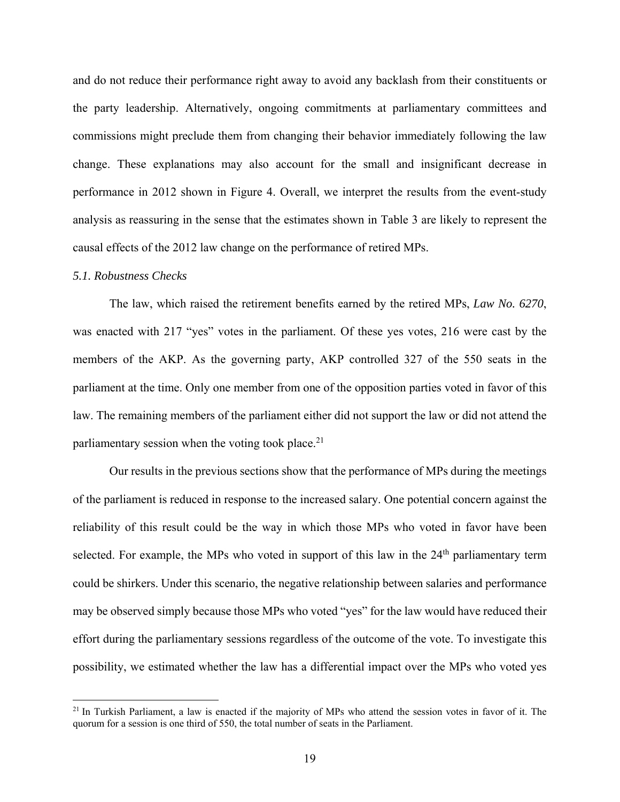and do not reduce their performance right away to avoid any backlash from their constituents or the party leadership. Alternatively, ongoing commitments at parliamentary committees and commissions might preclude them from changing their behavior immediately following the law change. These explanations may also account for the small and insignificant decrease in performance in 2012 shown in Figure 4. Overall, we interpret the results from the event-study analysis as reassuring in the sense that the estimates shown in Table 3 are likely to represent the causal effects of the 2012 law change on the performance of retired MPs.

#### *5.1. Robustness Checks*

 $\overline{a}$ 

The law, which raised the retirement benefits earned by the retired MPs, *Law No. 6270*, was enacted with 217 "yes" votes in the parliament. Of these yes votes, 216 were cast by the members of the AKP. As the governing party, AKP controlled 327 of the 550 seats in the parliament at the time. Only one member from one of the opposition parties voted in favor of this law. The remaining members of the parliament either did not support the law or did not attend the parliamentary session when the voting took place. $21$ 

Our results in the previous sections show that the performance of MPs during the meetings of the parliament is reduced in response to the increased salary. One potential concern against the reliability of this result could be the way in which those MPs who voted in favor have been selected. For example, the MPs who voted in support of this law in the  $24<sup>th</sup>$  parliamentary term could be shirkers. Under this scenario, the negative relationship between salaries and performance may be observed simply because those MPs who voted "yes" for the law would have reduced their effort during the parliamentary sessions regardless of the outcome of the vote. To investigate this possibility, we estimated whether the law has a differential impact over the MPs who voted yes

<sup>&</sup>lt;sup>21</sup> In Turkish Parliament, a law is enacted if the majority of MPs who attend the session votes in favor of it. The quorum for a session is one third of 550, the total number of seats in the Parliament.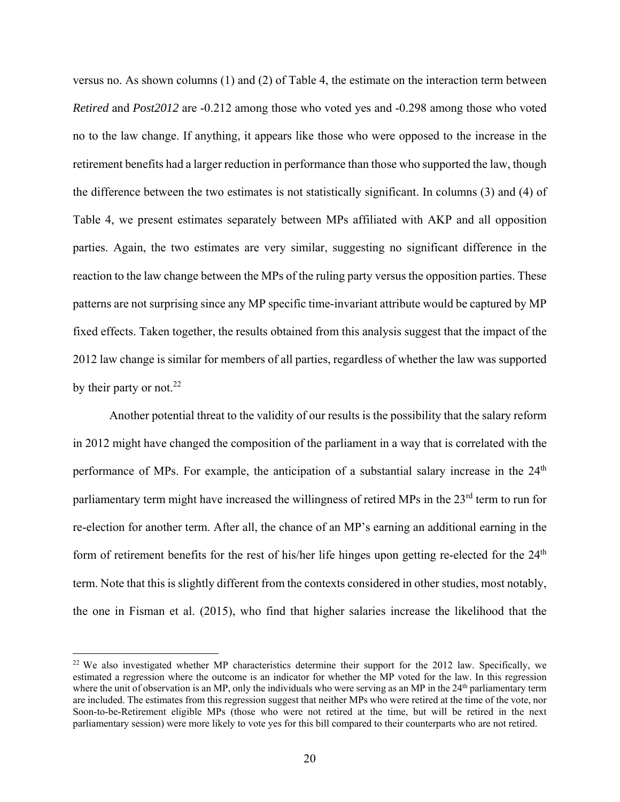versus no. As shown columns (1) and (2) of Table 4, the estimate on the interaction term between *Retired* and *Post2012* are -0.212 among those who voted yes and -0.298 among those who voted no to the law change. If anything, it appears like those who were opposed to the increase in the retirement benefits had a larger reduction in performance than those who supported the law, though the difference between the two estimates is not statistically significant. In columns (3) and (4) of Table 4, we present estimates separately between MPs affiliated with AKP and all opposition parties. Again, the two estimates are very similar, suggesting no significant difference in the reaction to the law change between the MPs of the ruling party versus the opposition parties. These patterns are not surprising since any MP specific time-invariant attribute would be captured by MP fixed effects. Taken together, the results obtained from this analysis suggest that the impact of the 2012 law change is similar for members of all parties, regardless of whether the law was supported by their party or not.<sup>22</sup>

Another potential threat to the validity of our results is the possibility that the salary reform in 2012 might have changed the composition of the parliament in a way that is correlated with the performance of MPs. For example, the anticipation of a substantial salary increase in the  $24<sup>th</sup>$ parliamentary term might have increased the willingness of retired MPs in the 23<sup>rd</sup> term to run for re-election for another term. After all, the chance of an MP's earning an additional earning in the form of retirement benefits for the rest of his/her life hinges upon getting re-elected for the 24<sup>th</sup> term. Note that this is slightly different from the contexts considered in other studies, most notably, the one in Fisman et al. (2015), who find that higher salaries increase the likelihood that the

1

<sup>&</sup>lt;sup>22</sup> We also investigated whether MP characteristics determine their support for the 2012 law. Specifically, we estimated a regression where the outcome is an indicator for whether the MP voted for the law. In this regression where the unit of observation is an MP, only the individuals who were serving as an MP in the  $24<sup>th</sup>$  parliamentary term are included. The estimates from this regression suggest that neither MPs who were retired at the time of the vote, nor Soon-to-be-Retirement eligible MPs (those who were not retired at the time, but will be retired in the next parliamentary session) were more likely to vote yes for this bill compared to their counterparts who are not retired.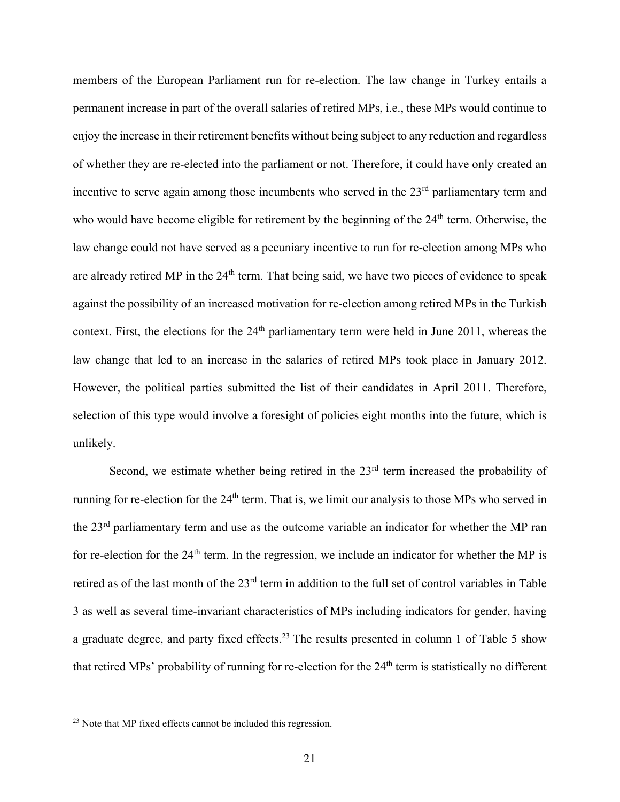members of the European Parliament run for re-election. The law change in Turkey entails a permanent increase in part of the overall salaries of retired MPs, i.e., these MPs would continue to enjoy the increase in their retirement benefits without being subject to any reduction and regardless of whether they are re-elected into the parliament or not. Therefore, it could have only created an incentive to serve again among those incumbents who served in the 23<sup>rd</sup> parliamentary term and who would have become eligible for retirement by the beginning of the 24<sup>th</sup> term. Otherwise, the law change could not have served as a pecuniary incentive to run for re-election among MPs who are already retired MP in the 24<sup>th</sup> term. That being said, we have two pieces of evidence to speak against the possibility of an increased motivation for re-election among retired MPs in the Turkish context. First, the elections for the 24<sup>th</sup> parliamentary term were held in June 2011, whereas the law change that led to an increase in the salaries of retired MPs took place in January 2012. However, the political parties submitted the list of their candidates in April 2011. Therefore, selection of this type would involve a foresight of policies eight months into the future, which is unlikely.

Second, we estimate whether being retired in the 23<sup>rd</sup> term increased the probability of running for re-election for the 24<sup>th</sup> term. That is, we limit our analysis to those MPs who served in the 23rd parliamentary term and use as the outcome variable an indicator for whether the MP ran for re-election for the 24th term. In the regression, we include an indicator for whether the MP is retired as of the last month of the 23rd term in addition to the full set of control variables in Table 3 as well as several time-invariant characteristics of MPs including indicators for gender, having a graduate degree, and party fixed effects.<sup>23</sup> The results presented in column 1 of Table 5 show that retired MPs' probability of running for re-election for the 24<sup>th</sup> term is statistically no different

<sup>&</sup>lt;sup>23</sup> Note that MP fixed effects cannot be included this regression.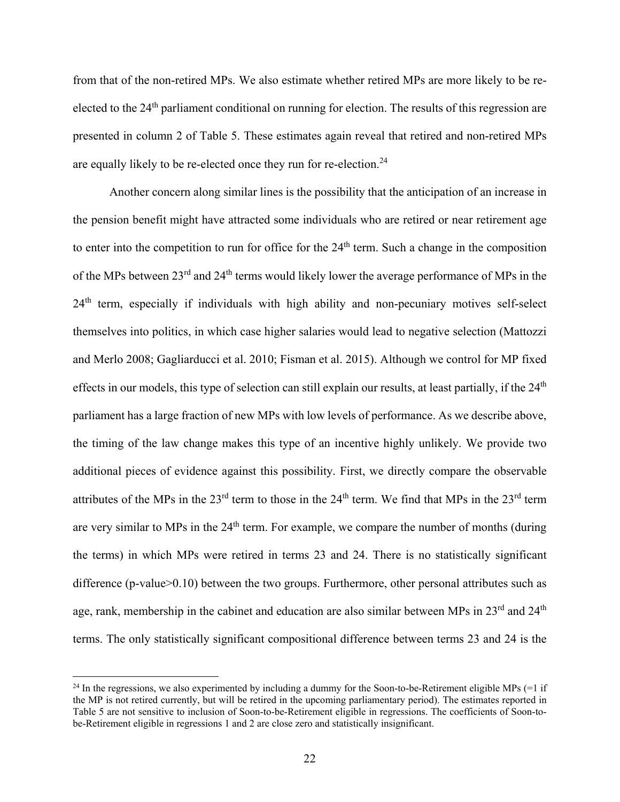from that of the non-retired MPs. We also estimate whether retired MPs are more likely to be reelected to the 24th parliament conditional on running for election. The results of this regression are presented in column 2 of Table 5. These estimates again reveal that retired and non-retired MPs are equally likely to be re-elected once they run for re-election.<sup>24</sup>

Another concern along similar lines is the possibility that the anticipation of an increase in the pension benefit might have attracted some individuals who are retired or near retirement age to enter into the competition to run for office for the 24<sup>th</sup> term. Such a change in the composition of the MPs between 23rd and 24th terms would likely lower the average performance of MPs in the 24<sup>th</sup> term, especially if individuals with high ability and non-pecuniary motives self-select themselves into politics, in which case higher salaries would lead to negative selection (Mattozzi and Merlo 2008; Gagliarducci et al. 2010; Fisman et al. 2015). Although we control for MP fixed effects in our models, this type of selection can still explain our results, at least partially, if the  $24<sup>th</sup>$ parliament has a large fraction of new MPs with low levels of performance. As we describe above, the timing of the law change makes this type of an incentive highly unlikely. We provide two additional pieces of evidence against this possibility. First, we directly compare the observable attributes of the MPs in the  $23^{rd}$  term to those in the  $24^{th}$  term. We find that MPs in the  $23^{rd}$  term are very similar to MPs in the 24<sup>th</sup> term. For example, we compare the number of months (during the terms) in which MPs were retired in terms 23 and 24. There is no statistically significant difference (p-value>0.10) between the two groups. Furthermore, other personal attributes such as age, rank, membership in the cabinet and education are also similar between MPs in 23<sup>rd</sup> and 24<sup>th</sup> terms. The only statistically significant compositional difference between terms 23 and 24 is the

<u>.</u>

 $^{24}$  In the regressions, we also experimented by including a dummy for the Soon-to-be-Retirement eligible MPs (=1 if the MP is not retired currently, but will be retired in the upcoming parliamentary period). The estimates reported in Table 5 are not sensitive to inclusion of Soon-to-be-Retirement eligible in regressions. The coefficients of Soon-tobe-Retirement eligible in regressions 1 and 2 are close zero and statistically insignificant.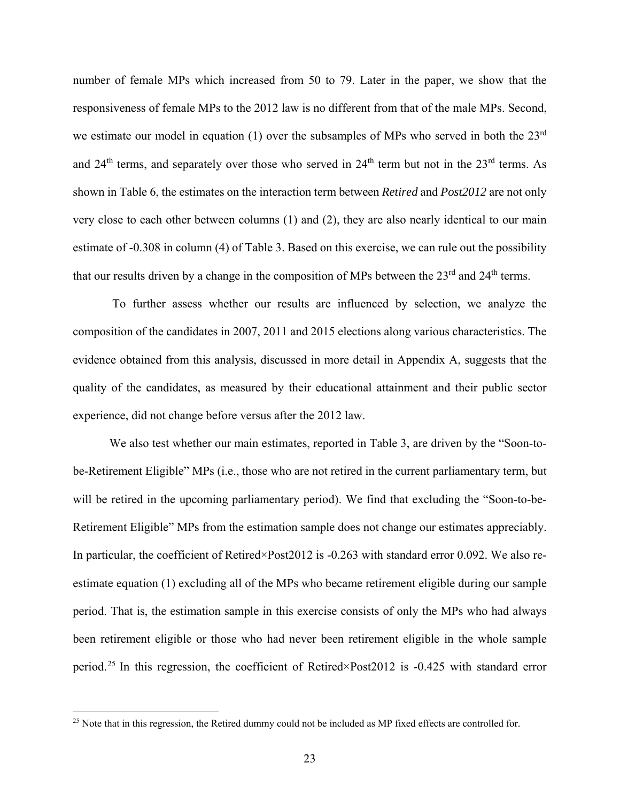number of female MPs which increased from 50 to 79. Later in the paper, we show that the responsiveness of female MPs to the 2012 law is no different from that of the male MPs. Second, we estimate our model in equation (1) over the subsamples of MPs who served in both the 23<sup>rd</sup> and 24<sup>th</sup> terms, and separately over those who served in 24<sup>th</sup> term but not in the 23<sup>rd</sup> terms. As shown in Table 6, the estimates on the interaction term between *Retired* and *Post2012* are not only very close to each other between columns (1) and (2), they are also nearly identical to our main estimate of -0.308 in column (4) of Table 3. Based on this exercise, we can rule out the possibility that our results driven by a change in the composition of MPs between the 23<sup>rd</sup> and 24<sup>th</sup> terms.

 To further assess whether our results are influenced by selection, we analyze the composition of the candidates in 2007, 2011 and 2015 elections along various characteristics. The evidence obtained from this analysis, discussed in more detail in Appendix A, suggests that the quality of the candidates, as measured by their educational attainment and their public sector experience, did not change before versus after the 2012 law.

We also test whether our main estimates, reported in Table 3, are driven by the "Soon-tobe-Retirement Eligible" MPs (i.e., those who are not retired in the current parliamentary term, but will be retired in the upcoming parliamentary period). We find that excluding the "Soon-to-be-Retirement Eligible" MPs from the estimation sample does not change our estimates appreciably. In particular, the coefficient of Retired×Post2012 is -0.263 with standard error 0.092. We also reestimate equation (1) excluding all of the MPs who became retirement eligible during our sample period. That is, the estimation sample in this exercise consists of only the MPs who had always been retirement eligible or those who had never been retirement eligible in the whole sample period.25 In this regression, the coefficient of Retired×Post2012 is -0.425 with standard error

<u>.</u>

<sup>&</sup>lt;sup>25</sup> Note that in this regression, the Retired dummy could not be included as MP fixed effects are controlled for.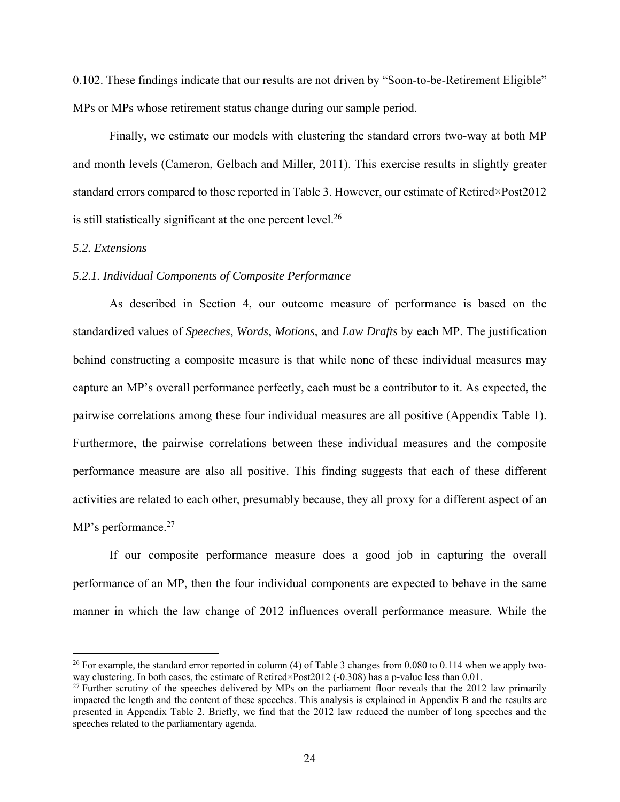0.102. These findings indicate that our results are not driven by "Soon-to-be-Retirement Eligible" MPs or MPs whose retirement status change during our sample period.

Finally, we estimate our models with clustering the standard errors two-way at both MP and month levels (Cameron, Gelbach and Miller, 2011). This exercise results in slightly greater standard errors compared to those reported in Table 3. However, our estimate of Retired×Post2012 is still statistically significant at the one percent level. $^{26}$ 

#### *5.2. Extensions*

 $\overline{a}$ 

# *5.2.1. Individual Components of Composite Performance*

As described in Section 4, our outcome measure of performance is based on the standardized values of *Speeches*, *Words*, *Motions*, and *Law Drafts* by each MP. The justification behind constructing a composite measure is that while none of these individual measures may capture an MP's overall performance perfectly, each must be a contributor to it. As expected, the pairwise correlations among these four individual measures are all positive (Appendix Table 1). Furthermore, the pairwise correlations between these individual measures and the composite performance measure are also all positive. This finding suggests that each of these different activities are related to each other, presumably because, they all proxy for a different aspect of an MP's performance.<sup>27</sup>

If our composite performance measure does a good job in capturing the overall performance of an MP, then the four individual components are expected to behave in the same manner in which the law change of 2012 influences overall performance measure. While the

<sup>&</sup>lt;sup>26</sup> For example, the standard error reported in column (4) of Table 3 changes from 0.080 to 0.114 when we apply twoway clustering. In both cases, the estimate of Retired×Post2012 (-0.308) has a p-value less than 0.01.

<sup>&</sup>lt;sup>27</sup> Further scrutiny of the speeches delivered by MPs on the parliament floor reveals that the 2012 law primarily impacted the length and the content of these speeches. This analysis is explained in Appendix B and the results are presented in Appendix Table 2. Briefly, we find that the 2012 law reduced the number of long speeches and the speeches related to the parliamentary agenda.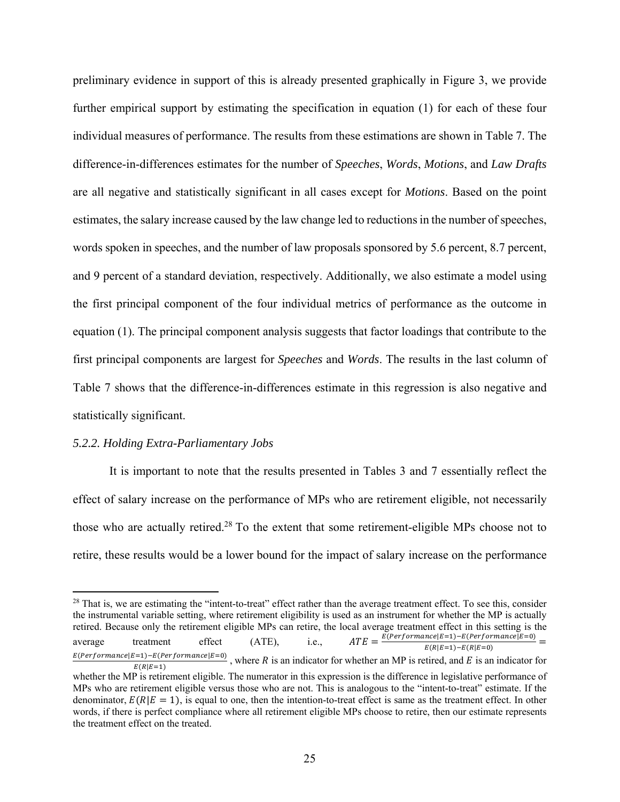preliminary evidence in support of this is already presented graphically in Figure 3, we provide further empirical support by estimating the specification in equation (1) for each of these four individual measures of performance. The results from these estimations are shown in Table 7. The difference-in-differences estimates for the number of *Speeches*, *Words*, *Motions*, and *Law Drafts* are all negative and statistically significant in all cases except for *Motions*. Based on the point estimates, the salary increase caused by the law change led to reductions in the number of speeches, words spoken in speeches, and the number of law proposals sponsored by 5.6 percent, 8.7 percent, and 9 percent of a standard deviation, respectively. Additionally, we also estimate a model using the first principal component of the four individual metrics of performance as the outcome in equation (1). The principal component analysis suggests that factor loadings that contribute to the first principal components are largest for *Speeches* and *Words*. The results in the last column of Table 7 shows that the difference-in-differences estimate in this regression is also negative and statistically significant.

#### *5.2.2. Holding Extra-Parliamentary Jobs*

 $\overline{a}$ 

It is important to note that the results presented in Tables 3 and 7 essentially reflect the effect of salary increase on the performance of MPs who are retirement eligible, not necessarily those who are actually retired.28 To the extent that some retirement-eligible MPs choose not to retire, these results would be a lower bound for the impact of salary increase on the performance

<sup>&</sup>lt;sup>28</sup> That is, we are estimating the "intent-to-treat" effect rather than the average treatment effect. To see this, consider the instrumental variable setting, where retirement eligibility is used as an instrument for whether the MP is actually retired. Because only the retirement eligible MPs can retire, the local average treatment effect in this setting is the average treatment effect (ATE), i.e.,  $ATE = \frac{E(Performance | E=1) - E(Performance | E=0)}{E(R|E=1) - E(R|E=0)}$  $\frac{E(Performance|E=1)-E(Performance|E=0)}{E(R|E=1)}$ , where R is an indicator for whether an MP is retired, and E is an indicator for whether the MP is retirement eligible. The numerator in this expression is the difference in legislative performance of MPs who are retirement eligible versus those who are not. This is analogous to the "intent-to-treat" estimate. If the denominator,  $E(R|E = 1)$ , is equal to one, then the intention-to-treat effect is same as the treatment effect. In other words, if there is perfect compliance where all retirement eligible MPs choose to retire, then our estimate represents the treatment effect on the treated.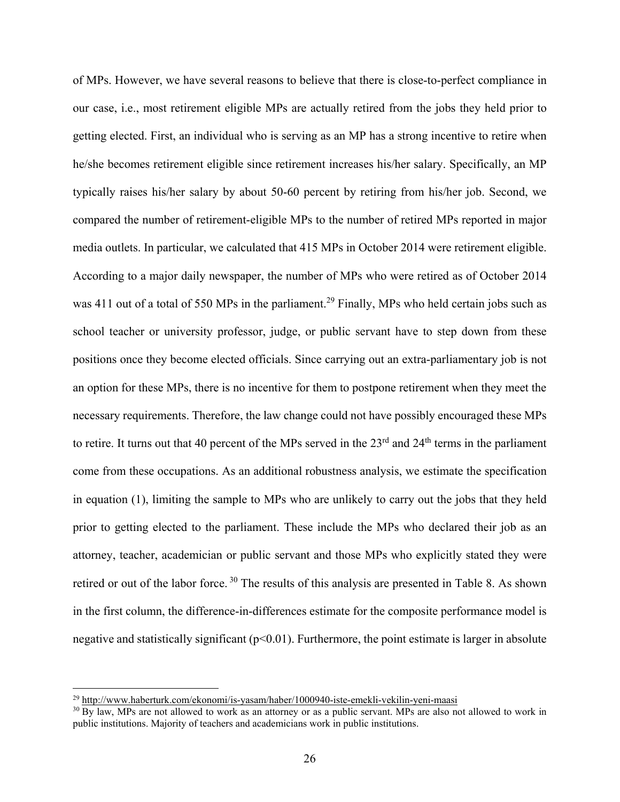of MPs. However, we have several reasons to believe that there is close-to-perfect compliance in our case, i.e., most retirement eligible MPs are actually retired from the jobs they held prior to getting elected. First, an individual who is serving as an MP has a strong incentive to retire when he/she becomes retirement eligible since retirement increases his/her salary. Specifically, an MP typically raises his/her salary by about 50-60 percent by retiring from his/her job. Second, we compared the number of retirement-eligible MPs to the number of retired MPs reported in major media outlets. In particular, we calculated that 415 MPs in October 2014 were retirement eligible. According to a major daily newspaper, the number of MPs who were retired as of October 2014 was 411 out of a total of 550 MPs in the parliament.<sup>29</sup> Finally, MPs who held certain jobs such as school teacher or university professor, judge, or public servant have to step down from these positions once they become elected officials. Since carrying out an extra-parliamentary job is not an option for these MPs, there is no incentive for them to postpone retirement when they meet the necessary requirements. Therefore, the law change could not have possibly encouraged these MPs to retire. It turns out that 40 percent of the MPs served in the 23<sup>rd</sup> and 24<sup>th</sup> terms in the parliament come from these occupations. As an additional robustness analysis, we estimate the specification in equation (1), limiting the sample to MPs who are unlikely to carry out the jobs that they held prior to getting elected to the parliament. These include the MPs who declared their job as an attorney, teacher, academician or public servant and those MPs who explicitly stated they were retired or out of the labor force.<sup>30</sup> The results of this analysis are presented in Table 8. As shown in the first column, the difference-in-differences estimate for the composite performance model is negative and statistically significant ( $p<0.01$ ). Furthermore, the point estimate is larger in absolute

1

 $^{29}$  http://www.haberturk.com/ekonomi/is-yasam/haber/1000940-iste-emekli-vekilin-yeni-maasi  $^{30}$  By law, MPs are not allowed to work as an attorney or as a public servant. MPs are also not allowed to work in public institutions. Majority of teachers and academicians work in public institutions.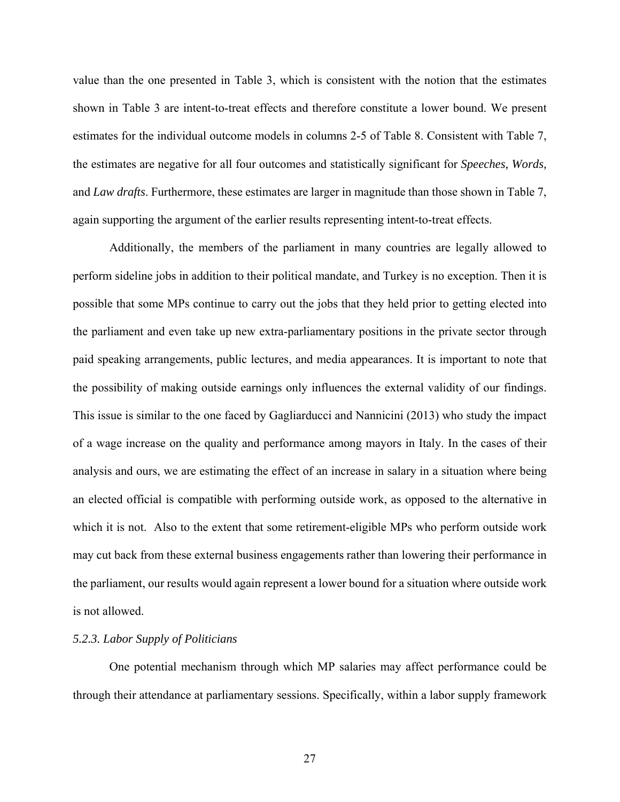value than the one presented in Table 3, which is consistent with the notion that the estimates shown in Table 3 are intent-to-treat effects and therefore constitute a lower bound. We present estimates for the individual outcome models in columns 2-5 of Table 8. Consistent with Table 7, the estimates are negative for all four outcomes and statistically significant for *Speeches, Words,*  and *Law drafts*. Furthermore, these estimates are larger in magnitude than those shown in Table 7, again supporting the argument of the earlier results representing intent-to-treat effects.

Additionally, the members of the parliament in many countries are legally allowed to perform sideline jobs in addition to their political mandate, and Turkey is no exception. Then it is possible that some MPs continue to carry out the jobs that they held prior to getting elected into the parliament and even take up new extra-parliamentary positions in the private sector through paid speaking arrangements, public lectures, and media appearances. It is important to note that the possibility of making outside earnings only influences the external validity of our findings. This issue is similar to the one faced by Gagliarducci and Nannicini (2013) who study the impact of a wage increase on the quality and performance among mayors in Italy. In the cases of their analysis and ours, we are estimating the effect of an increase in salary in a situation where being an elected official is compatible with performing outside work, as opposed to the alternative in which it is not. Also to the extent that some retirement-eligible MPs who perform outside work may cut back from these external business engagements rather than lowering their performance in the parliament, our results would again represent a lower bound for a situation where outside work is not allowed.

# *5.2.3. Labor Supply of Politicians*

One potential mechanism through which MP salaries may affect performance could be through their attendance at parliamentary sessions. Specifically, within a labor supply framework

27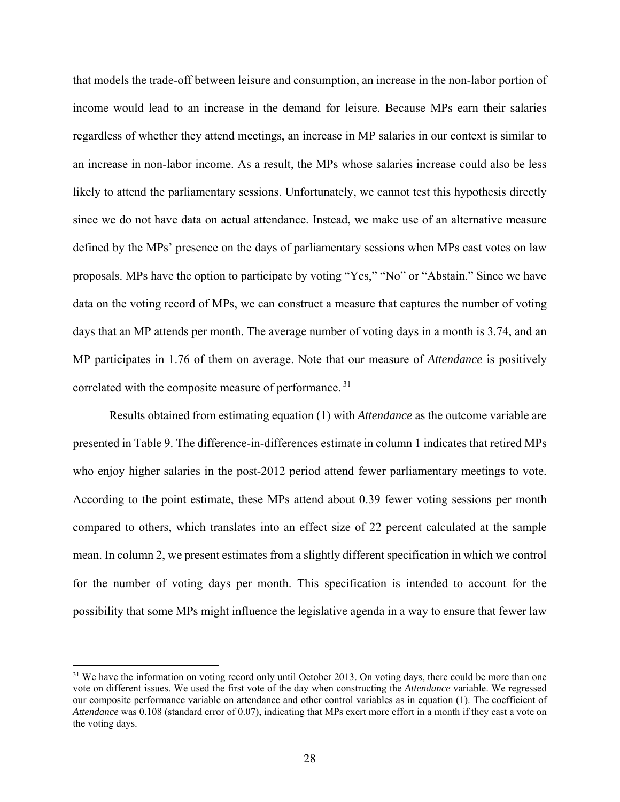that models the trade-off between leisure and consumption, an increase in the non-labor portion of income would lead to an increase in the demand for leisure. Because MPs earn their salaries regardless of whether they attend meetings, an increase in MP salaries in our context is similar to an increase in non-labor income. As a result, the MPs whose salaries increase could also be less likely to attend the parliamentary sessions. Unfortunately, we cannot test this hypothesis directly since we do not have data on actual attendance. Instead, we make use of an alternative measure defined by the MPs' presence on the days of parliamentary sessions when MPs cast votes on law proposals. MPs have the option to participate by voting "Yes," "No" or "Abstain." Since we have data on the voting record of MPs, we can construct a measure that captures the number of voting days that an MP attends per month. The average number of voting days in a month is 3.74, and an MP participates in 1.76 of them on average. Note that our measure of *Attendance* is positively correlated with the composite measure of performance. 31

Results obtained from estimating equation (1) with *Attendance* as the outcome variable are presented in Table 9. The difference-in-differences estimate in column 1 indicates that retired MPs who enjoy higher salaries in the post-2012 period attend fewer parliamentary meetings to vote. According to the point estimate, these MPs attend about 0.39 fewer voting sessions per month compared to others, which translates into an effect size of 22 percent calculated at the sample mean. In column 2, we present estimates from a slightly different specification in which we control for the number of voting days per month. This specification is intended to account for the possibility that some MPs might influence the legislative agenda in a way to ensure that fewer law

<sup>&</sup>lt;sup>31</sup> We have the information on voting record only until October 2013. On voting days, there could be more than one vote on different issues. We used the first vote of the day when constructing the *Attendance* variable. We regressed our composite performance variable on attendance and other control variables as in equation (1). The coefficient of *Attendance* was 0.108 (standard error of 0.07), indicating that MPs exert more effort in a month if they cast a vote on the voting days.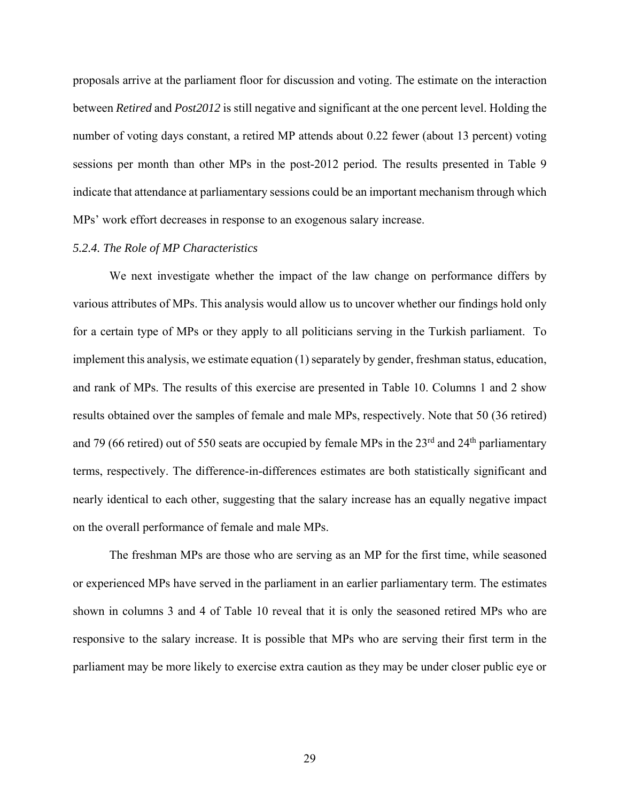proposals arrive at the parliament floor for discussion and voting. The estimate on the interaction between *Retired* and *Post2012* is still negative and significant at the one percent level. Holding the number of voting days constant, a retired MP attends about 0.22 fewer (about 13 percent) voting sessions per month than other MPs in the post-2012 period. The results presented in Table 9 indicate that attendance at parliamentary sessions could be an important mechanism through which MPs' work effort decreases in response to an exogenous salary increase.

# *5.2.4. The Role of MP Characteristics*

 We next investigate whether the impact of the law change on performance differs by various attributes of MPs. This analysis would allow us to uncover whether our findings hold only for a certain type of MPs or they apply to all politicians serving in the Turkish parliament. To implement this analysis, we estimate equation (1) separately by gender, freshman status, education, and rank of MPs. The results of this exercise are presented in Table 10. Columns 1 and 2 show results obtained over the samples of female and male MPs, respectively. Note that 50 (36 retired) and 79 (66 retired) out of 550 seats are occupied by female MPs in the 23<sup>rd</sup> and 24<sup>th</sup> parliamentary terms, respectively. The difference-in-differences estimates are both statistically significant and nearly identical to each other, suggesting that the salary increase has an equally negative impact on the overall performance of female and male MPs.

The freshman MPs are those who are serving as an MP for the first time, while seasoned or experienced MPs have served in the parliament in an earlier parliamentary term. The estimates shown in columns 3 and 4 of Table 10 reveal that it is only the seasoned retired MPs who are responsive to the salary increase. It is possible that MPs who are serving their first term in the parliament may be more likely to exercise extra caution as they may be under closer public eye or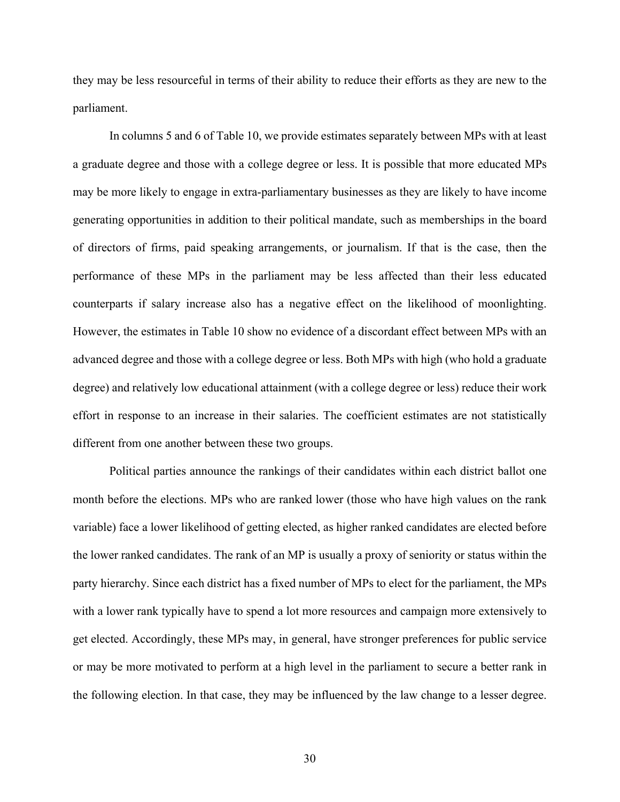they may be less resourceful in terms of their ability to reduce their efforts as they are new to the parliament.

In columns 5 and 6 of Table 10, we provide estimates separately between MPs with at least a graduate degree and those with a college degree or less. It is possible that more educated MPs may be more likely to engage in extra-parliamentary businesses as they are likely to have income generating opportunities in addition to their political mandate, such as memberships in the board of directors of firms, paid speaking arrangements, or journalism. If that is the case, then the performance of these MPs in the parliament may be less affected than their less educated counterparts if salary increase also has a negative effect on the likelihood of moonlighting. However, the estimates in Table 10 show no evidence of a discordant effect between MPs with an advanced degree and those with a college degree or less. Both MPs with high (who hold a graduate degree) and relatively low educational attainment (with a college degree or less) reduce their work effort in response to an increase in their salaries. The coefficient estimates are not statistically different from one another between these two groups.

Political parties announce the rankings of their candidates within each district ballot one month before the elections. MPs who are ranked lower (those who have high values on the rank variable) face a lower likelihood of getting elected, as higher ranked candidates are elected before the lower ranked candidates. The rank of an MP is usually a proxy of seniority or status within the party hierarchy. Since each district has a fixed number of MPs to elect for the parliament, the MPs with a lower rank typically have to spend a lot more resources and campaign more extensively to get elected. Accordingly, these MPs may, in general, have stronger preferences for public service or may be more motivated to perform at a high level in the parliament to secure a better rank in the following election. In that case, they may be influenced by the law change to a lesser degree.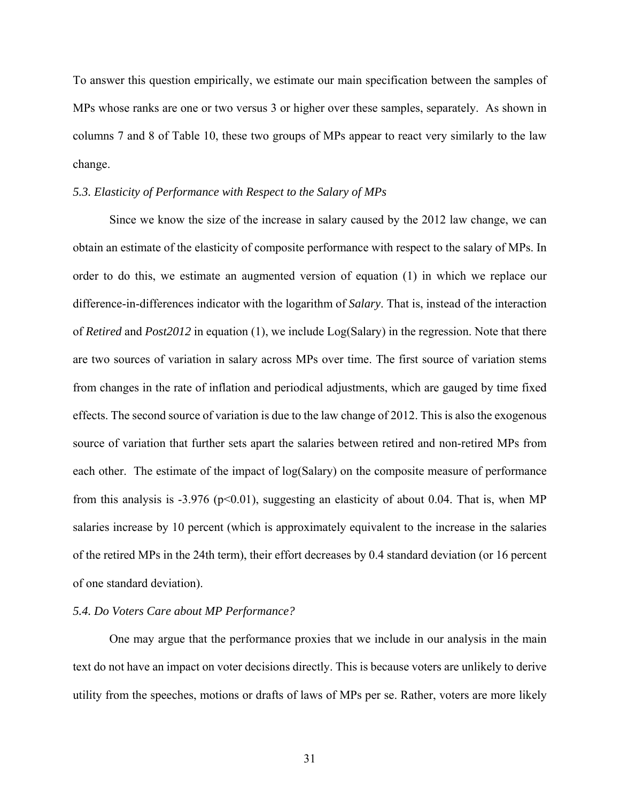To answer this question empirically, we estimate our main specification between the samples of MPs whose ranks are one or two versus 3 or higher over these samples, separately. As shown in columns 7 and 8 of Table 10, these two groups of MPs appear to react very similarly to the law change.

## *5.3. Elasticity of Performance with Respect to the Salary of MPs*

 Since we know the size of the increase in salary caused by the 2012 law change, we can obtain an estimate of the elasticity of composite performance with respect to the salary of MPs. In order to do this, we estimate an augmented version of equation (1) in which we replace our difference-in-differences indicator with the logarithm of *Salary*. That is, instead of the interaction of *Retired* and *Post2012* in equation (1), we include Log(Salary) in the regression. Note that there are two sources of variation in salary across MPs over time. The first source of variation stems from changes in the rate of inflation and periodical adjustments, which are gauged by time fixed effects. The second source of variation is due to the law change of 2012. This is also the exogenous source of variation that further sets apart the salaries between retired and non-retired MPs from each other. The estimate of the impact of log(Salary) on the composite measure of performance from this analysis is -3.976 ( $p<0.01$ ), suggesting an elasticity of about 0.04. That is, when MP salaries increase by 10 percent (which is approximately equivalent to the increase in the salaries of the retired MPs in the 24th term), their effort decreases by 0.4 standard deviation (or 16 percent of one standard deviation).

## *5.4. Do Voters Care about MP Performance?*

 One may argue that the performance proxies that we include in our analysis in the main text do not have an impact on voter decisions directly. This is because voters are unlikely to derive utility from the speeches, motions or drafts of laws of MPs per se. Rather, voters are more likely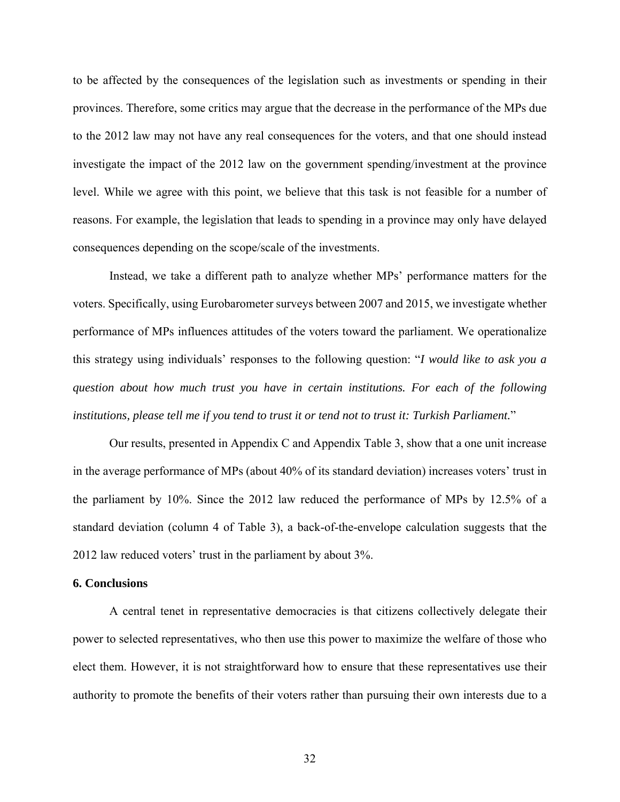to be affected by the consequences of the legislation such as investments or spending in their provinces. Therefore, some critics may argue that the decrease in the performance of the MPs due to the 2012 law may not have any real consequences for the voters, and that one should instead investigate the impact of the 2012 law on the government spending/investment at the province level. While we agree with this point, we believe that this task is not feasible for a number of reasons. For example, the legislation that leads to spending in a province may only have delayed consequences depending on the scope/scale of the investments.

 Instead, we take a different path to analyze whether MPs' performance matters for the voters. Specifically, using Eurobarometer surveys between 2007 and 2015, we investigate whether performance of MPs influences attitudes of the voters toward the parliament. We operationalize this strategy using individuals' responses to the following question: "*I would like to ask you a question about how much trust you have in certain institutions. For each of the following institutions, please tell me if you tend to trust it or tend not to trust it: Turkish Parliament.*"

 Our results, presented in Appendix C and Appendix Table 3, show that a one unit increase in the average performance of MPs (about 40% of its standard deviation) increases voters' trust in the parliament by 10%. Since the 2012 law reduced the performance of MPs by 12.5% of a standard deviation (column 4 of Table 3), a back-of-the-envelope calculation suggests that the 2012 law reduced voters' trust in the parliament by about 3%.

#### **6. Conclusions**

 A central tenet in representative democracies is that citizens collectively delegate their power to selected representatives, who then use this power to maximize the welfare of those who elect them. However, it is not straightforward how to ensure that these representatives use their authority to promote the benefits of their voters rather than pursuing their own interests due to a

32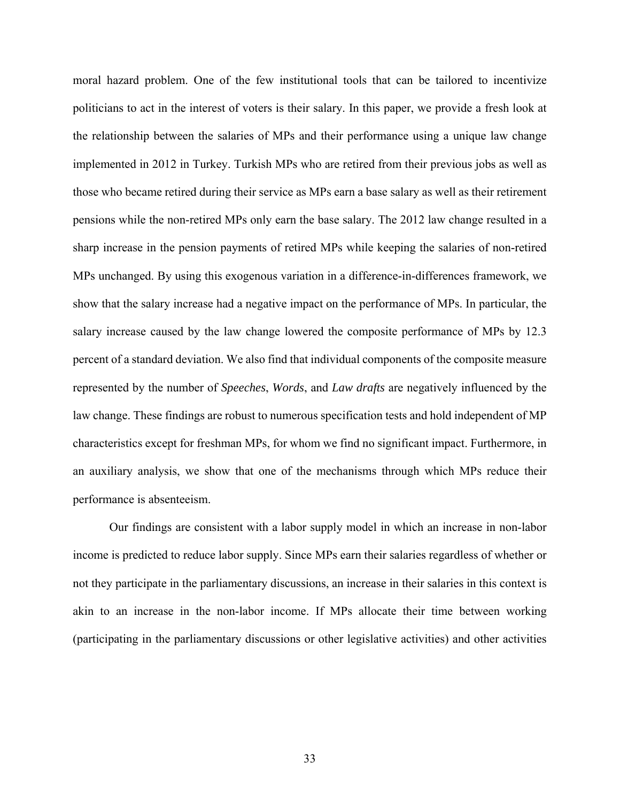moral hazard problem. One of the few institutional tools that can be tailored to incentivize politicians to act in the interest of voters is their salary. In this paper, we provide a fresh look at the relationship between the salaries of MPs and their performance using a unique law change implemented in 2012 in Turkey. Turkish MPs who are retired from their previous jobs as well as those who became retired during their service as MPs earn a base salary as well as their retirement pensions while the non-retired MPs only earn the base salary. The 2012 law change resulted in a sharp increase in the pension payments of retired MPs while keeping the salaries of non-retired MPs unchanged. By using this exogenous variation in a difference-in-differences framework, we show that the salary increase had a negative impact on the performance of MPs. In particular, the salary increase caused by the law change lowered the composite performance of MPs by 12.3 percent of a standard deviation. We also find that individual components of the composite measure represented by the number of *Speeches*, *Words*, and *Law drafts* are negatively influenced by the law change. These findings are robust to numerous specification tests and hold independent of MP characteristics except for freshman MPs, for whom we find no significant impact. Furthermore, in an auxiliary analysis, we show that one of the mechanisms through which MPs reduce their performance is absenteeism.

Our findings are consistent with a labor supply model in which an increase in non-labor income is predicted to reduce labor supply. Since MPs earn their salaries regardless of whether or not they participate in the parliamentary discussions, an increase in their salaries in this context is akin to an increase in the non-labor income. If MPs allocate their time between working (participating in the parliamentary discussions or other legislative activities) and other activities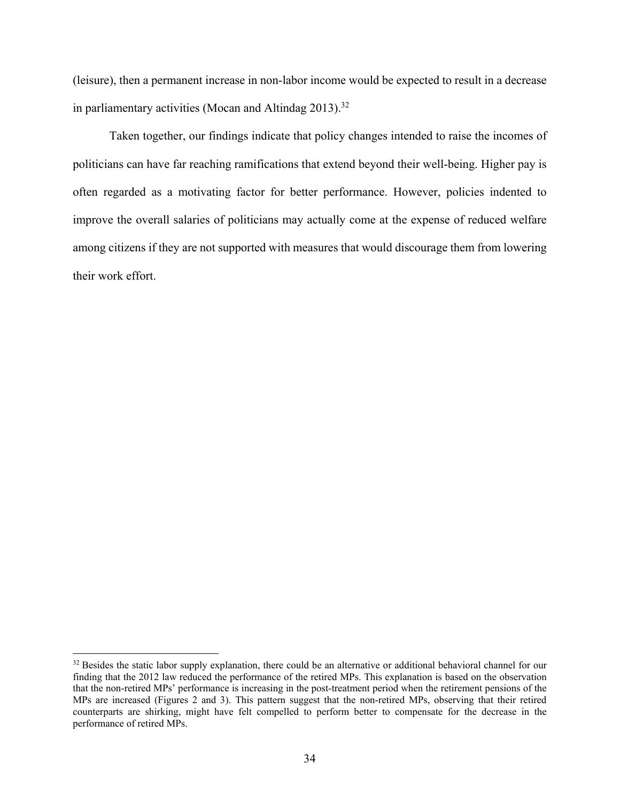(leisure), then a permanent increase in non-labor income would be expected to result in a decrease in parliamentary activities (Mocan and Altindag  $2013$ ).<sup>32</sup>

Taken together, our findings indicate that policy changes intended to raise the incomes of politicians can have far reaching ramifications that extend beyond their well-being. Higher pay is often regarded as a motivating factor for better performance. However, policies indented to improve the overall salaries of politicians may actually come at the expense of reduced welfare among citizens if they are not supported with measures that would discourage them from lowering their work effort.

 $32$  Besides the static labor supply explanation, there could be an alternative or additional behavioral channel for our finding that the 2012 law reduced the performance of the retired MPs. This explanation is based on the observation that the non-retired MPs' performance is increasing in the post-treatment period when the retirement pensions of the MPs are increased (Figures 2 and 3). This pattern suggest that the non-retired MPs, observing that their retired counterparts are shirking, might have felt compelled to perform better to compensate for the decrease in the performance of retired MPs.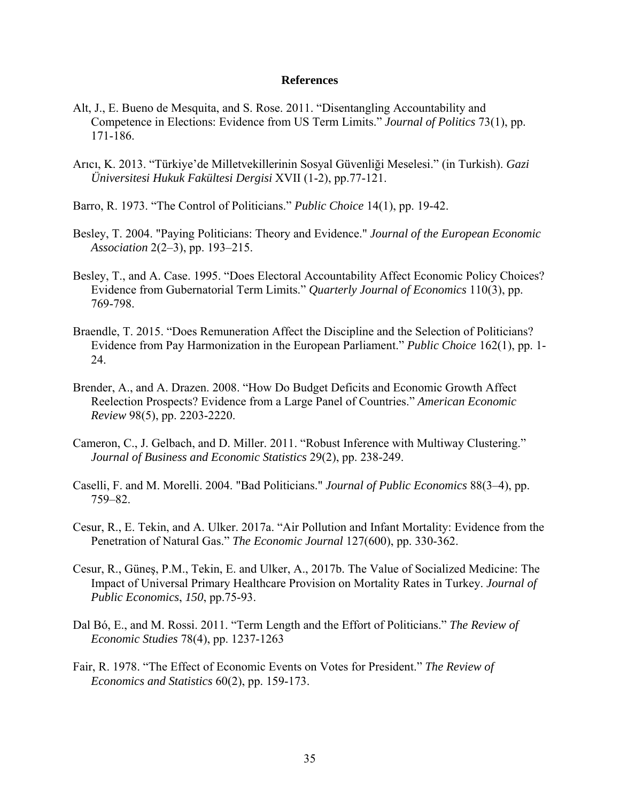# **References**

- Alt, J., E. Bueno de Mesquita, and S. Rose. 2011. "Disentangling Accountability and Competence in Elections: Evidence from US Term Limits." *Journal of Politics* 73(1), pp. 171-186.
- Arıcı, K. 2013. "Türkiye'de Milletvekillerinin Sosyal Güvenliği Meselesi." (in Turkish). *Gazi Üniversitesi Hukuk Fakültesi Dergisi* XVII (1-2), pp.77-121.
- Barro, R. 1973. "The Control of Politicians." *Public Choice* 14(1), pp. 19-42.
- Besley, T. 2004. "Paying Politicians: Theory and Evidence." *Journal of the European Economic Association* 2(2–3), pp. 193–215.
- Besley, T., and A. Case. 1995. "Does Electoral Accountability Affect Economic Policy Choices? Evidence from Gubernatorial Term Limits." *Quarterly Journal of Economics* 110(3), pp. 769-798.
- Braendle, T. 2015. "Does Remuneration Affect the Discipline and the Selection of Politicians? Evidence from Pay Harmonization in the European Parliament." *Public Choice* 162(1), pp. 1- 24.
- Brender, A., and A. Drazen. 2008. "How Do Budget Deficits and Economic Growth Affect Reelection Prospects? Evidence from a Large Panel of Countries." *American Economic Review* 98(5), pp. 2203-2220.
- Cameron, C., J. Gelbach, and D. Miller. 2011. "Robust Inference with Multiway Clustering." *Journal of Business and Economic Statistics* 29(2), pp. 238-249.
- Caselli, F. and M. Morelli. 2004. "Bad Politicians." *Journal of Public Economics* 88(3–4), pp. 759–82.
- Cesur, R., E. Tekin, and A. Ulker. 2017a. "Air Pollution and Infant Mortality: Evidence from the Penetration of Natural Gas." *The Economic Journal* 127(600), pp. 330-362.
- Cesur, R., Güneş, P.M., Tekin, E. and Ulker, A., 2017b. The Value of Socialized Medicine: The Impact of Universal Primary Healthcare Provision on Mortality Rates in Turkey. *Journal of Public Economics*, *150*, pp.75-93.
- Dal Bó, E., and M. Rossi. 2011. "Term Length and the Effort of Politicians." *The Review of Economic Studies* 78(4), pp. 1237-1263
- Fair, R. 1978. "The Effect of Economic Events on Votes for President." *The Review of Economics and Statistics* 60(2), pp. 159-173.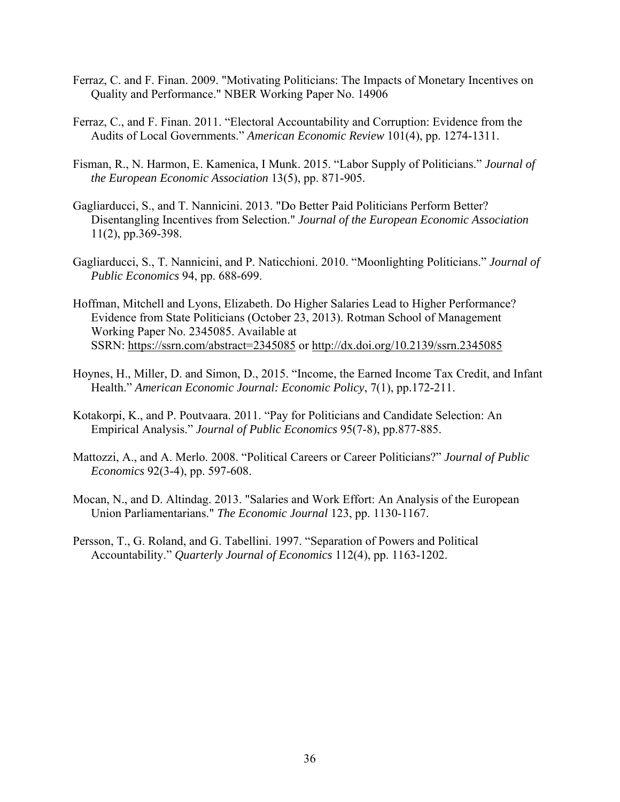- Ferraz, C. and F. Finan. 2009. "Motivating Politicians: The Impacts of Monetary Incentives on Quality and Performance." NBER Working Paper No. 14906
- Ferraz, C., and F. Finan. 2011. "Electoral Accountability and Corruption: Evidence from the Audits of Local Governments." *American Economic Review* 101(4), pp. 1274-1311.
- Fisman, R., N. Harmon, E. Kamenica, I Munk. 2015. "Labor Supply of Politicians." *Journal of the European Economic Association* 13(5), pp. 871-905.
- Gagliarducci, S., and T. Nannicini. 2013. "Do Better Paid Politicians Perform Better? Disentangling Incentives from Selection." *Journal of the European Economic Association* 11(2), pp.369-398.
- Gagliarducci, S., T. Nannicini, and P. Naticchioni. 2010. "Moonlighting Politicians." *Journal of Public Economics* 94, pp. 688-699.
- Hoffman, Mitchell and Lyons, Elizabeth. Do Higher Salaries Lead to Higher Performance? Evidence from State Politicians (October 23, 2013). Rotman School of Management Working Paper No. 2345085. Available at SSRN: https://ssrn.com/abstract=2345085 or http://dx.doi.org/10.2139/ssrn.2345085
- Hoynes, H., Miller, D. and Simon, D., 2015. "Income, the Earned Income Tax Credit, and Infant Health." *American Economic Journal: Economic Policy*, 7(1), pp.172-211.
- Kotakorpi, K., and P. Poutvaara. 2011. "Pay for Politicians and Candidate Selection: An Empirical Analysis." *Journal of Public Economics* 95(7-8), pp.877-885.
- Mattozzi, A., and A. Merlo. 2008. "Political Careers or Career Politicians?" *Journal of Public Economics* 92(3-4), pp. 597-608.
- Mocan, N., and D. Altindag. 2013. "Salaries and Work Effort: An Analysis of the European Union Parliamentarians." *The Economic Journal* 123, pp. 1130-1167.
- Persson, T., G. Roland, and G. Tabellini. 1997. "Separation of Powers and Political Accountability." *Quarterly Journal of Economics* 112(4), pp. 1163-1202.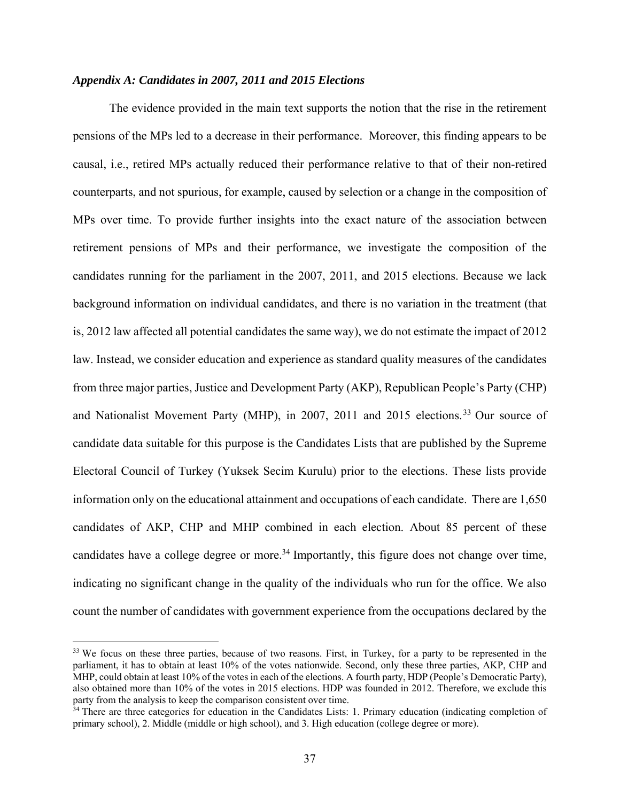# *Appendix A: Candidates in 2007, 2011 and 2015 Elections*

The evidence provided in the main text supports the notion that the rise in the retirement pensions of the MPs led to a decrease in their performance. Moreover, this finding appears to be causal, i.e., retired MPs actually reduced their performance relative to that of their non-retired counterparts, and not spurious, for example, caused by selection or a change in the composition of MPs over time. To provide further insights into the exact nature of the association between retirement pensions of MPs and their performance, we investigate the composition of the candidates running for the parliament in the 2007, 2011, and 2015 elections. Because we lack background information on individual candidates, and there is no variation in the treatment (that is, 2012 law affected all potential candidates the same way), we do not estimate the impact of 2012 law. Instead, we consider education and experience as standard quality measures of the candidates from three major parties, Justice and Development Party (AKP), Republican People's Party (CHP) and Nationalist Movement Party (MHP), in 2007, 2011 and 2015 elections.<sup>33</sup> Our source of candidate data suitable for this purpose is the Candidates Lists that are published by the Supreme Electoral Council of Turkey (Yuksek Secim Kurulu) prior to the elections. These lists provide information only on the educational attainment and occupations of each candidate. There are 1,650 candidates of AKP, CHP and MHP combined in each election. About 85 percent of these candidates have a college degree or more.<sup>34</sup> Importantly, this figure does not change over time, indicating no significant change in the quality of the individuals who run for the office. We also count the number of candidates with government experience from the occupations declared by the

<sup>&</sup>lt;sup>33</sup> We focus on these three parties, because of two reasons. First, in Turkey, for a party to be represented in the parliament, it has to obtain at least 10% of the votes nationwide. Second, only these three parties, AKP, CHP and MHP, could obtain at least 10% of the votes in each of the elections. A fourth party, HDP (People's Democratic Party), also obtained more than 10% of the votes in 2015 elections. HDP was founded in 2012. Therefore, we exclude this party from the analysis to keep the comparison consistent over time.

<sup>&</sup>lt;sup>34</sup> There are three categories for education in the Candidates Lists: 1. Primary education (indicating completion of primary school), 2. Middle (middle or high school), and 3. High education (college degree or more).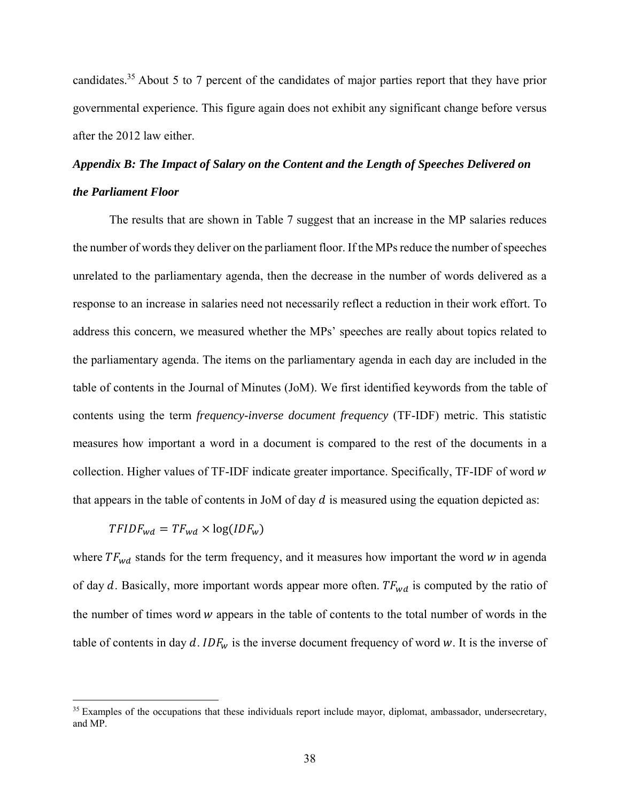candidates.35 About 5 to 7 percent of the candidates of major parties report that they have prior governmental experience. This figure again does not exhibit any significant change before versus after the 2012 law either.

# *Appendix B: The Impact of Salary on the Content and the Length of Speeches Delivered on the Parliament Floor*

 The results that are shown in Table 7 suggest that an increase in the MP salaries reduces the number of words they deliver on the parliament floor. If the MPs reduce the number of speeches unrelated to the parliamentary agenda, then the decrease in the number of words delivered as a response to an increase in salaries need not necessarily reflect a reduction in their work effort. To address this concern, we measured whether the MPs' speeches are really about topics related to the parliamentary agenda. The items on the parliamentary agenda in each day are included in the table of contents in the Journal of Minutes (JoM). We first identified keywords from the table of contents using the term *frequency-inverse document frequency* (TF-IDF) metric. This statistic measures how important a word in a document is compared to the rest of the documents in a collection. Higher values of  $TF$ -IDF indicate greater importance. Specifically,  $TF$ -IDF of word  $w$ that appears in the table of contents in JoM of day  $d$  is measured using the equation depicted as:

$$
TFIDF_{wd} = TF_{wd} \times \log(IDF_w)
$$

 $\overline{a}$ 

where  $TF_{wd}$  stands for the term frequency, and it measures how important the word w in agenda of day  $d$ . Basically, more important words appear more often.  $TF_{wd}$  is computed by the ratio of the number of times word w appears in the table of contents to the total number of words in the table of contents in day  $d$ . IDF<sub>w</sub> is the inverse document frequency of word w. It is the inverse of

<sup>&</sup>lt;sup>35</sup> Examples of the occupations that these individuals report include mayor, diplomat, ambassador, undersecretary, and MP.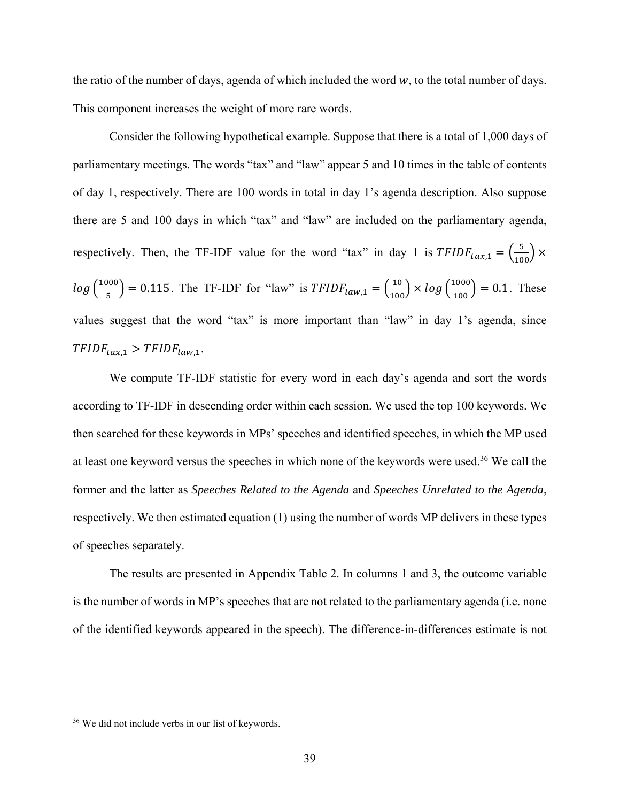the ratio of the number of days, agenda of which included the word  $w$ , to the total number of days. This component increases the weight of more rare words.

 Consider the following hypothetical example. Suppose that there is a total of 1,000 days of parliamentary meetings. The words "tax" and "law" appear 5 and 10 times in the table of contents of day 1, respectively. There are 100 words in total in day 1's agenda description. Also suppose there are 5 and 100 days in which "tax" and "law" are included on the parliamentary agenda, respectively. Then, the TF-IDF value for the word "tax" in day 1 is  $TFIDF_{tax,1} = \left(\frac{5}{100}\right) \times$  $log\left(\frac{1000}{5}\right) = 0.115$ . The TF-IDF for "law" is  $TFIDF_{law,1} = \left(\frac{10}{100}\right) \times log\left(\frac{1000}{100}\right) = 0.1$ . These values suggest that the word "tax" is more important than "law" in day 1's agenda, since  $TFIDF_{tax,1} > TFIDF_{law,1}$ .

 We compute TF-IDF statistic for every word in each day's agenda and sort the words according to TF-IDF in descending order within each session. We used the top 100 keywords. We then searched for these keywords in MPs' speeches and identified speeches, in which the MP used at least one keyword versus the speeches in which none of the keywords were used.36 We call the former and the latter as *Speeches Related to the Agenda* and *Speeches Unrelated to the Agenda*, respectively. We then estimated equation (1) using the number of words MP delivers in these types of speeches separately.

 The results are presented in Appendix Table 2. In columns 1 and 3, the outcome variable is the number of words in MP's speeches that are not related to the parliamentary agenda (i.e. none of the identified keywords appeared in the speech). The difference-in-differences estimate is not

<u>.</u>

<sup>36</sup> We did not include verbs in our list of keywords.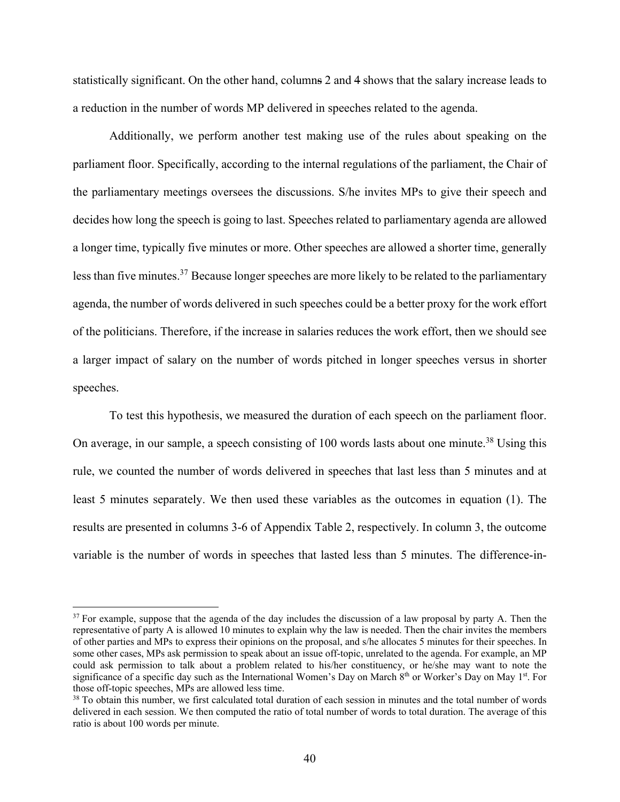statistically significant. On the other hand, columns 2 and 4 shows that the salary increase leads to a reduction in the number of words MP delivered in speeches related to the agenda.

Additionally, we perform another test making use of the rules about speaking on the parliament floor. Specifically, according to the internal regulations of the parliament, the Chair of the parliamentary meetings oversees the discussions. S/he invites MPs to give their speech and decides how long the speech is going to last. Speeches related to parliamentary agenda are allowed a longer time, typically five minutes or more. Other speeches are allowed a shorter time, generally less than five minutes.<sup>37</sup> Because longer speeches are more likely to be related to the parliamentary agenda, the number of words delivered in such speeches could be a better proxy for the work effort of the politicians. Therefore, if the increase in salaries reduces the work effort, then we should see a larger impact of salary on the number of words pitched in longer speeches versus in shorter speeches.

To test this hypothesis, we measured the duration of each speech on the parliament floor. On average, in our sample, a speech consisting of 100 words lasts about one minute.<sup>38</sup> Using this rule, we counted the number of words delivered in speeches that last less than 5 minutes and at least 5 minutes separately. We then used these variables as the outcomes in equation (1). The results are presented in columns 3-6 of Appendix Table 2, respectively. In column 3, the outcome variable is the number of words in speeches that lasted less than 5 minutes. The difference-in-

 $37$  For example, suppose that the agenda of the day includes the discussion of a law proposal by party A. Then the representative of party A is allowed 10 minutes to explain why the law is needed. Then the chair invites the members of other parties and MPs to express their opinions on the proposal, and s/he allocates 5 minutes for their speeches. In some other cases, MPs ask permission to speak about an issue off-topic, unrelated to the agenda. For example, an MP could ask permission to talk about a problem related to his/her constituency, or he/she may want to note the significance of a specific day such as the International Women's Day on March 8<sup>th</sup> or Worker's Day on May 1<sup>st</sup>. For those off-topic speeches, MPs are allowed less time.

<sup>&</sup>lt;sup>38</sup> To obtain this number, we first calculated total duration of each session in minutes and the total number of words delivered in each session. We then computed the ratio of total number of words to total duration. The average of this ratio is about 100 words per minute.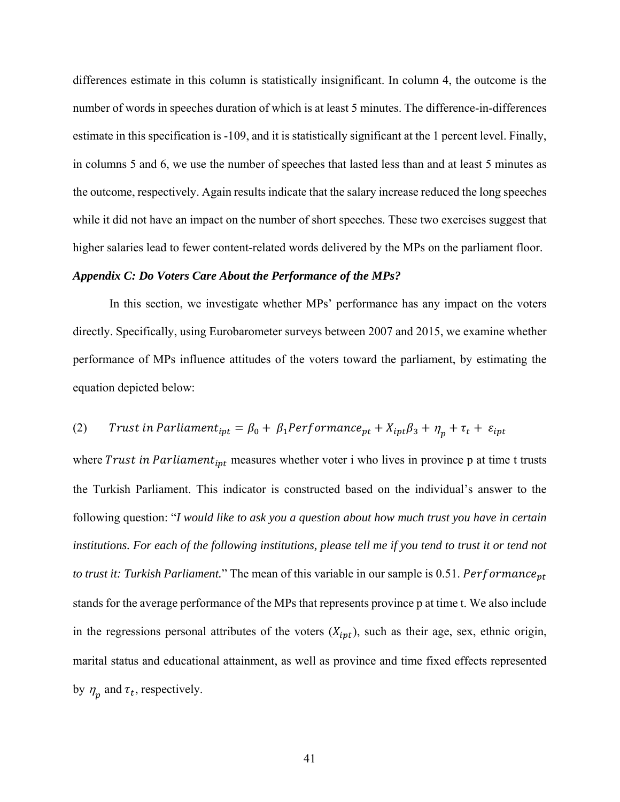differences estimate in this column is statistically insignificant. In column 4, the outcome is the number of words in speeches duration of which is at least 5 minutes. The difference-in-differences estimate in this specification is -109, and it is statistically significant at the 1 percent level. Finally, in columns 5 and 6, we use the number of speeches that lasted less than and at least 5 minutes as the outcome, respectively. Again results indicate that the salary increase reduced the long speeches while it did not have an impact on the number of short speeches. These two exercises suggest that higher salaries lead to fewer content-related words delivered by the MPs on the parliament floor.

# *Appendix C: Do Voters Care About the Performance of the MPs?*

 In this section, we investigate whether MPs' performance has any impact on the voters directly. Specifically, using Eurobarometer surveys between 2007 and 2015, we examine whether performance of MPs influence attitudes of the voters toward the parliament, by estimating the equation depicted below:

# (2) Trust in Parliament<sub>ipt</sub> =  $\beta_0 + \beta_1$ Performance<sub>pt</sub> +  $X_{ipt}\beta_3 + \eta_p + \tau_t + \varepsilon_{ipt}$

where Trust in Parliament<sub>ipt</sub> measures whether voter i who lives in province p at time t trusts the Turkish Parliament. This indicator is constructed based on the individual's answer to the following question: "*I would like to ask you a question about how much trust you have in certain institutions. For each of the following institutions, please tell me if you tend to trust it or tend not to trust it: Turkish Parliament.*" The mean of this variable in our sample is 0.51. Performance<sub>pt</sub> stands for the average performance of the MPs that represents province p at time t. We also include in the regressions personal attributes of the voters  $(X_{ipt})$ , such as their age, sex, ethnic origin, marital status and educational attainment, as well as province and time fixed effects represented by  $\eta_n$  and  $\tau_t$ , respectively.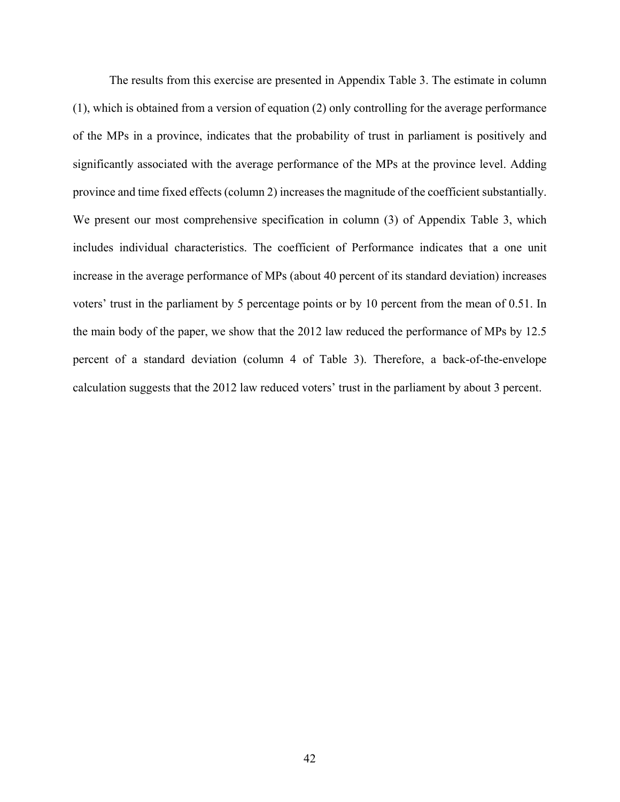The results from this exercise are presented in Appendix Table 3. The estimate in column (1), which is obtained from a version of equation (2) only controlling for the average performance of the MPs in a province, indicates that the probability of trust in parliament is positively and significantly associated with the average performance of the MPs at the province level. Adding province and time fixed effects (column 2) increases the magnitude of the coefficient substantially. We present our most comprehensive specification in column (3) of Appendix Table 3, which includes individual characteristics. The coefficient of Performance indicates that a one unit increase in the average performance of MPs (about 40 percent of its standard deviation) increases voters' trust in the parliament by 5 percentage points or by 10 percent from the mean of 0.51. In the main body of the paper, we show that the 2012 law reduced the performance of MPs by 12.5 percent of a standard deviation (column 4 of Table 3). Therefore, a back-of-the-envelope calculation suggests that the 2012 law reduced voters' trust in the parliament by about 3 percent.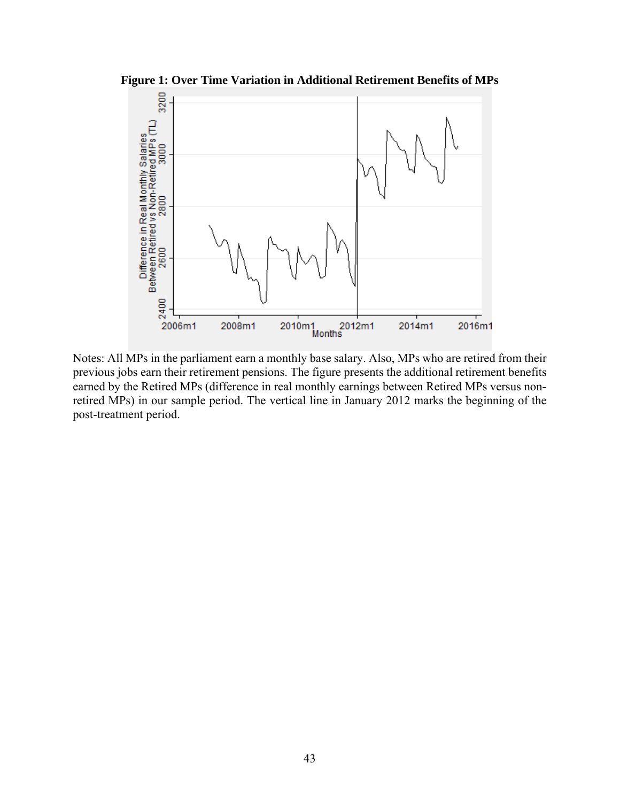

**Figure 1: Over Time Variation in Additional Retirement Benefits of MPs** 

Notes: All MPs in the parliament earn a monthly base salary. Also, MPs who are retired from their previous jobs earn their retirement pensions. The figure presents the additional retirement benefits earned by the Retired MPs (difference in real monthly earnings between Retired MPs versus nonretired MPs) in our sample period. The vertical line in January 2012 marks the beginning of the post-treatment period.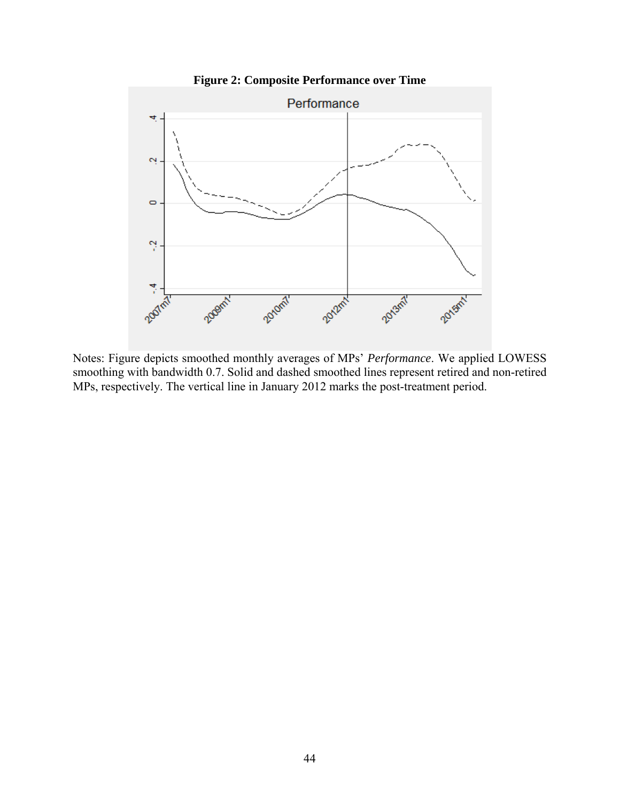

**Figure 2: Composite Performance over Time** 

Notes: Figure depicts smoothed monthly averages of MPs' *Performance*. We applied LOWESS smoothing with bandwidth 0.7. Solid and dashed smoothed lines represent retired and non-retired MPs, respectively. The vertical line in January 2012 marks the post-treatment period.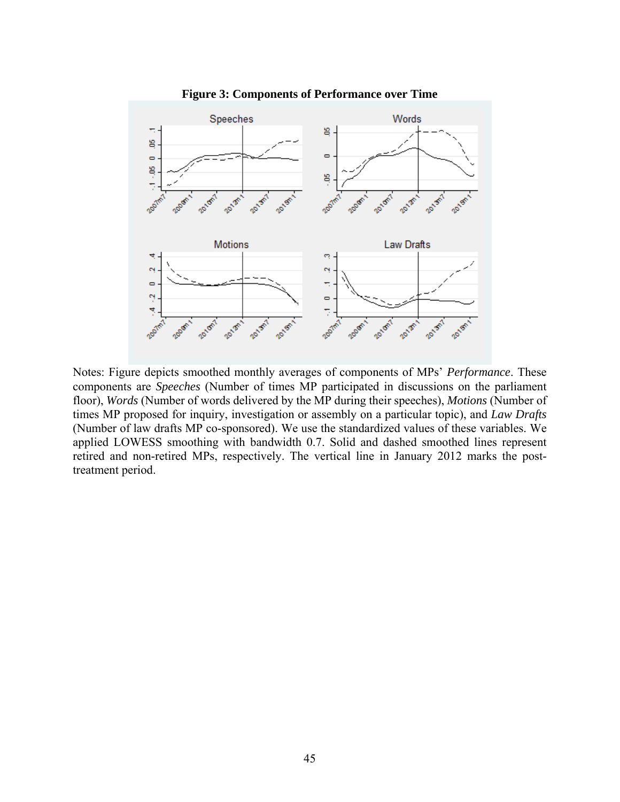

**Figure 3: Components of Performance over Time** 

Notes: Figure depicts smoothed monthly averages of components of MPs' *Performance*. These components are *Speeches* (Number of times MP participated in discussions on the parliament floor), *Words* (Number of words delivered by the MP during their speeches), *Motions* (Number of times MP proposed for inquiry, investigation or assembly on a particular topic), and *Law Drafts* (Number of law drafts MP co-sponsored). We use the standardized values of these variables. We applied LOWESS smoothing with bandwidth 0.7. Solid and dashed smoothed lines represent retired and non-retired MPs, respectively. The vertical line in January 2012 marks the posttreatment period.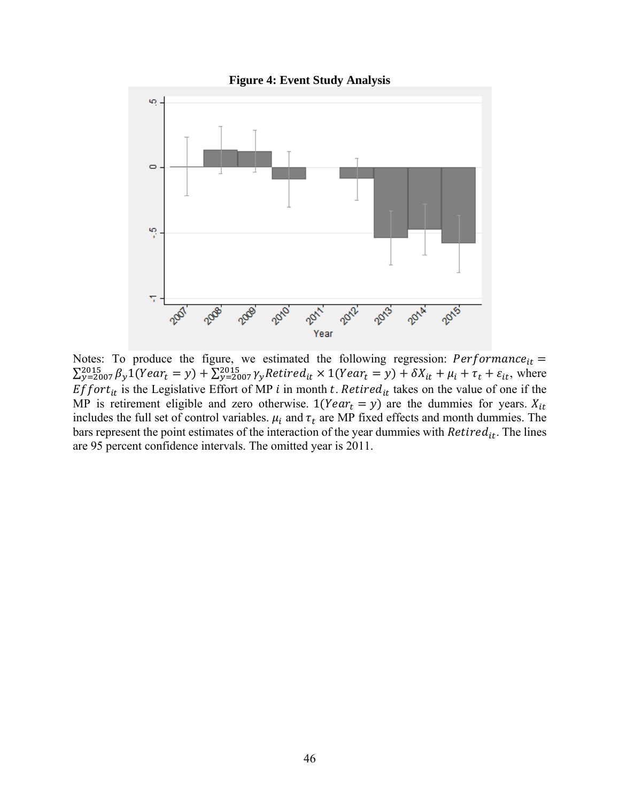

Notes: To produce the figure, we estimated the following regression:  $Performance_{it} =$  $\sum_{y=2007}^{2015} \beta_y 1(Year_t = y) + \sum_{y=2007}^{2015} \gamma_y Retired_{it} \times 1(Year_t = y) + \delta X_{it} + \mu_i + \tau_t + \varepsilon_{it}$ , where  $Effort_{it}$  is the Legislative Effort of MP *i* in month *t*. Retired<sub>it</sub> takes on the value of one if the MP is retirement eligible and zero otherwise.  $1(Year_t = y)$  are the dummies for years.  $X_{it}$ includes the full set of control variables.  $\mu_i$  and  $\tau_t$  are MP fixed effects and month dummies. The bars represent the point estimates of the interaction of the year dummies with  $Retired_{it}$ . The lines are 95 percent confidence intervals. The omitted year is 2011.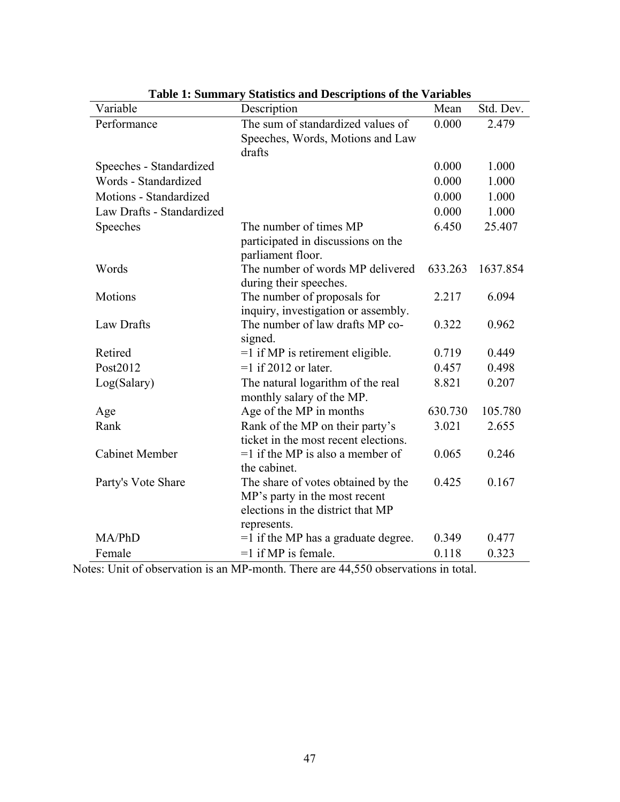| Variable                  | Description                           | Mean    | Std. Dev. |
|---------------------------|---------------------------------------|---------|-----------|
| Performance               | The sum of standardized values of     | 0.000   | 2.479     |
|                           | Speeches, Words, Motions and Law      |         |           |
|                           | drafts                                |         |           |
| Speeches - Standardized   |                                       | 0.000   | 1.000     |
| Words - Standardized      |                                       | 0.000   | 1.000     |
| Motions - Standardized    |                                       | 0.000   | 1.000     |
| Law Drafts - Standardized |                                       | 0.000   | 1.000     |
| Speeches                  | The number of times MP                | 6.450   | 25.407    |
|                           | participated in discussions on the    |         |           |
|                           | parliament floor.                     |         |           |
| Words                     | The number of words MP delivered      | 633.263 | 1637.854  |
|                           | during their speeches.                |         |           |
| Motions                   | The number of proposals for           | 2.217   | 6.094     |
|                           | inquiry, investigation or assembly.   |         |           |
| Law Drafts                | The number of law drafts MP co-       | 0.322   | 0.962     |
|                           | signed.                               |         |           |
| Retired                   | $=1$ if MP is retirement eligible.    | 0.719   | 0.449     |
| Post2012                  | $=1$ if 2012 or later.                | 0.457   | 0.498     |
| Log(Salary)               | The natural logarithm of the real     | 8.821   | 0.207     |
|                           | monthly salary of the MP.             |         |           |
| Age                       | Age of the MP in months               | 630.730 | 105.780   |
| Rank                      | Rank of the MP on their party's       | 3.021   | 2.655     |
|                           | ticket in the most recent elections.  |         |           |
| <b>Cabinet Member</b>     | $=1$ if the MP is also a member of    | 0.065   | 0.246     |
|                           | the cabinet.                          |         |           |
| Party's Vote Share        | The share of votes obtained by the    | 0.425   | 0.167     |
|                           | MP's party in the most recent         |         |           |
|                           | elections in the district that MP     |         |           |
|                           | represents.                           |         |           |
| MA/PhD                    | $=1$ if the MP has a graduate degree. | 0.349   | 0.477     |
| Female                    | $=1$ if MP is female.                 | 0.118   | 0.323     |

**Table 1: Summary Statistics and Descriptions of the Variables** 

Notes: Unit of observation is an MP-month. There are 44,550 observations in total.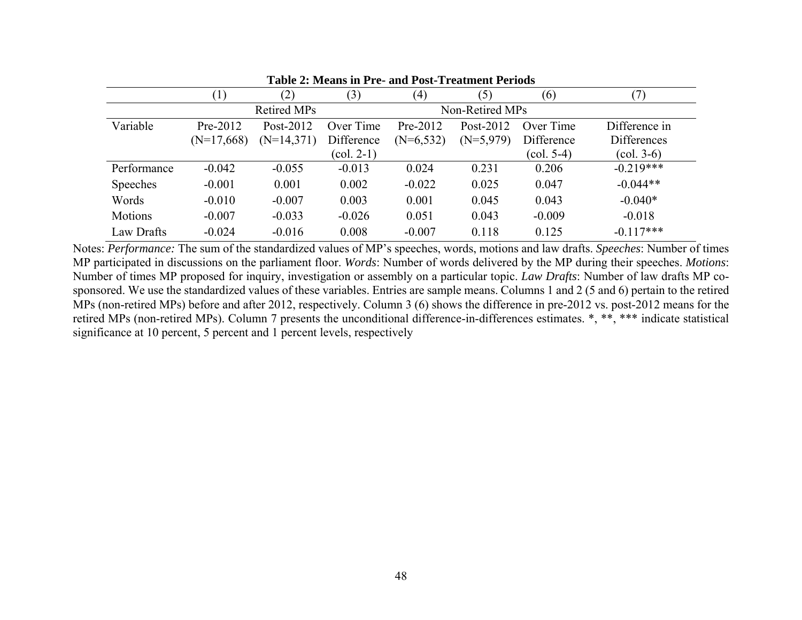|             | (1)          | $\mathbf{2})$      | (3)                               | (4)         | (5)             | (6)                             |                                     |  |
|-------------|--------------|--------------------|-----------------------------------|-------------|-----------------|---------------------------------|-------------------------------------|--|
|             |              | <b>Retired MPs</b> |                                   |             | Non-Retired MPs |                                 |                                     |  |
| Variable    | Pre-2012     | Post-2012          | Over Time                         | Pre-2012    | Post-2012       | Over Time                       | Difference in                       |  |
|             | $(N=17,668)$ | $(N=14,371)$       | Difference                        | $(N=6,532)$ | $(N=5,979)$     | Difference                      | <b>Differences</b>                  |  |
|             |              |                    | $\left( \text{col. } 2-1 \right)$ |             |                 | $\left(\text{col. } 5-4\right)$ | $\left( \text{col. } 3 - 6 \right)$ |  |
| Performance | $-0.042$     | $-0.055$           | $-0.013$                          | 0.024       | 0.231           | 0.206                           | $-0.219***$                         |  |
| Speeches    | $-0.001$     | 0.001              | 0.002                             | $-0.022$    | 0.025           | 0.047                           | $-0.044**$                          |  |
| Words       | $-0.010$     | $-0.007$           | 0.003                             | 0.001       | 0.045           | 0.043                           | $-0.040*$                           |  |
| Motions     | $-0.007$     | $-0.033$           | $-0.026$                          | 0.051       | 0.043           | $-0.009$                        | $-0.018$                            |  |
| Law Drafts  | $-0.024$     | $-0.016$           | 0.008                             | $-0.007$    | 0.118           | 0.125                           | $-0.117***$                         |  |

**Table 2: Means in Pre- and Post-Treatment Periods** 

Notes: *Performance:* The sum of the standardized values of MP's speeches, words, motions and law drafts. *Speeches*: Number of times MP participated in discussions on the parliament floor. *Words*: Number of words delivered by the MP during their speeches. *Motions*: Number of times MP proposed for inquiry, investigation or assembly on a particular topic. *Law Drafts*: Number of law drafts MP cosponsored. We use the standardized values of these variables. Entries are sample means. Columns 1 and 2 (5 and 6) pertain to the retired MPs (non-retired MPs) before and after 2012, respectively. Column 3 (6) shows the difference in pre-2012 vs. post-2012 means for the retired MPs (non-retired MPs). Column 7 presents the unconditional difference-in-differences estimates. \*, \*\*, \*\*\* indicate statistical significance at 10 percent, 5 percent and 1 percent levels, respectively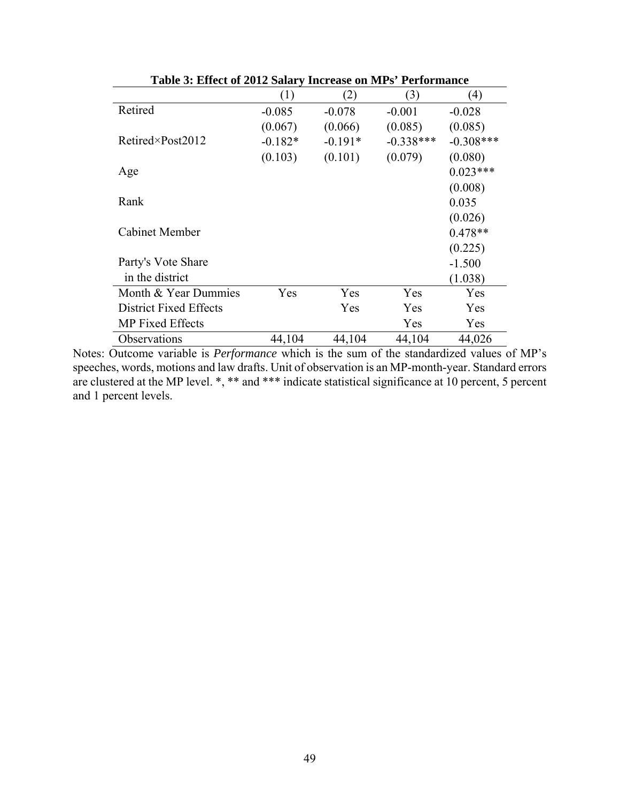|                               | (1)       | (2)       | (3)         | $\left(4\right)$ |
|-------------------------------|-----------|-----------|-------------|------------------|
| Retired                       | $-0.085$  | $-0.078$  | $-0.001$    | $-0.028$         |
|                               | (0.067)   | (0.066)   | (0.085)     | (0.085)          |
| $Retired\times Post2012$      | $-0.182*$ | $-0.191*$ | $-0.338***$ | $-0.308***$      |
|                               | (0.103)   | (0.101)   | (0.079)     | (0.080)          |
| Age                           |           |           |             | $0.023***$       |
|                               |           |           |             | (0.008)          |
| Rank                          |           |           |             | 0.035            |
|                               |           |           |             | (0.026)          |
| Cabinet Member                |           |           |             | $0.478**$        |
|                               |           |           |             | (0.225)          |
| Party's Vote Share            |           |           |             | $-1.500$         |
| in the district               |           |           |             | (1.038)          |
| Month & Year Dummies          | Yes       | Yes       | Yes         | Yes              |
| <b>District Fixed Effects</b> |           | Yes       | Yes         | Yes              |
| <b>MP</b> Fixed Effects       |           |           | Yes         | Yes              |
| Observations                  | 44,104    | 44,104    | 44,104      | 44,026           |

**Table 3: Effect of 2012 Salary Increase on MPs' Performance** 

Notes: Outcome variable is *Performance* which is the sum of the standardized values of MP's speeches, words, motions and law drafts. Unit of observation is an MP-month-year. Standard errors are clustered at the MP level. \*, \*\* and \*\*\* indicate statistical significance at 10 percent, 5 percent and 1 percent levels.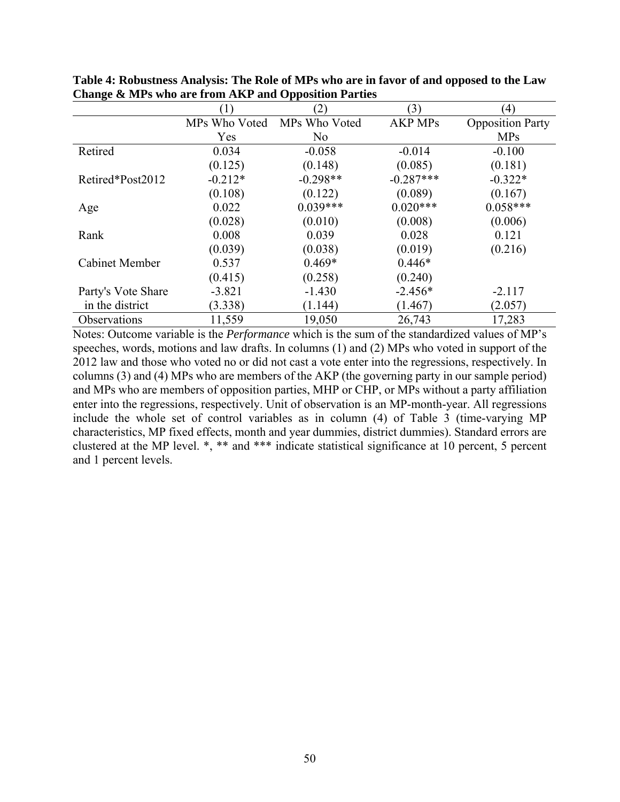|                     |               | (2)           | (3)            | $\left(4\right)$        |
|---------------------|---------------|---------------|----------------|-------------------------|
|                     | MPs Who Voted | MPs Who Voted | <b>AKP MPs</b> | <b>Opposition Party</b> |
|                     | Yes           | No.           |                | <b>MPs</b>              |
| Retired             | 0.034         | $-0.058$      | $-0.014$       | $-0.100$                |
|                     | (0.125)       | (0.148)       | (0.085)        | (0.181)                 |
| Retired*Post2012    | $-0.212*$     | $-0.298**$    | $-0.287***$    | $-0.322*$               |
|                     | (0.108)       | (0.122)       | (0.089)        | (0.167)                 |
| Age                 | 0.022         | $0.039***$    | $0.020***$     | $0.058***$              |
|                     | (0.028)       | (0.010)       | (0.008)        | (0.006)                 |
| Rank                | 0.008         | 0.039         | 0.028          | 0.121                   |
|                     | (0.039)       | (0.038)       | (0.019)        | (0.216)                 |
| Cabinet Member      | 0.537         | $0.469*$      | $0.446*$       |                         |
|                     | (0.415)       | (0.258)       | (0.240)        |                         |
| Party's Vote Share  | $-3.821$      | $-1.430$      | $-2.456*$      | $-2.117$                |
| in the district     | (3.338)       | (1.144)       | (1.467)        | (2.057)                 |
| <b>Observations</b> | 11,559        | 19,050        | 26,743         | 17,283                  |

**Table 4: Robustness Analysis: The Role of MPs who are in favor of and opposed to the Law Change & MPs who are from AKP and Opposition Parties** 

Notes: Outcome variable is the *Performance* which is the sum of the standardized values of MP's speeches, words, motions and law drafts. In columns (1) and (2) MPs who voted in support of the 2012 law and those who voted no or did not cast a vote enter into the regressions, respectively. In columns (3) and (4) MPs who are members of the AKP (the governing party in our sample period) and MPs who are members of opposition parties, MHP or CHP, or MPs without a party affiliation enter into the regressions, respectively. Unit of observation is an MP-month-year. All regressions include the whole set of control variables as in column (4) of Table 3 (time-varying MP characteristics, MP fixed effects, month and year dummies, district dummies). Standard errors are clustered at the MP level. \*, \*\* and \*\*\* indicate statistical significance at 10 percent, 5 percent and 1 percent levels.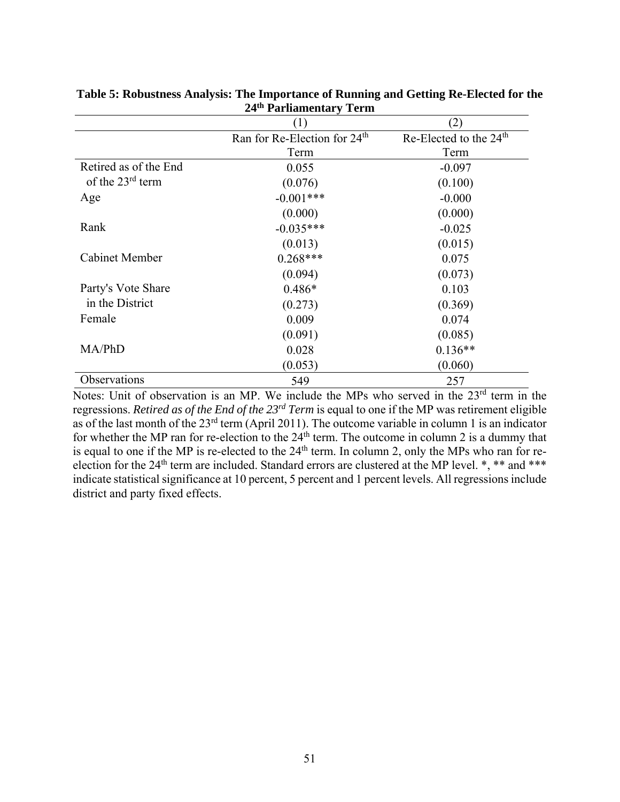|                       | (1)                                      | (2)                                |
|-----------------------|------------------------------------------|------------------------------------|
|                       | Ran for Re-Election for 24 <sup>th</sup> | Re-Elected to the 24 <sup>th</sup> |
|                       | Term                                     | Term                               |
| Retired as of the End | 0.055                                    | $-0.097$                           |
| of the $23rd$ term    | (0.076)                                  | (0.100)                            |
| Age                   | $-0.001***$                              | $-0.000$                           |
|                       | (0.000)                                  | (0.000)                            |
| Rank                  | $-0.035***$                              | $-0.025$                           |
|                       | (0.013)                                  | (0.015)                            |
| <b>Cabinet Member</b> | $0.268***$                               | 0.075                              |
|                       | (0.094)                                  | (0.073)                            |
| Party's Vote Share    | $0.486*$                                 | 0.103                              |
| in the District       | (0.273)                                  | (0.369)                            |
| Female                | 0.009                                    | 0.074                              |
|                       | (0.091)                                  | (0.085)                            |
| MA/PhD                | 0.028                                    | $0.136**$                          |
|                       | (0.053)                                  | (0.060)                            |
| Observations          | 549                                      | 257                                |

**Table 5: Robustness Analysis: The Importance of Running and Getting Re-Elected for the 24th Parliamentary Term** 

Notes: Unit of observation is an MP. We include the MPs who served in the 23<sup>rd</sup> term in the regressions. *Retired as of the End of the 23rd Term* is equal to one if the MP was retirement eligible as of the last month of the 23rd term (April 2011). The outcome variable in column 1 is an indicator for whether the MP ran for re-election to the  $24<sup>th</sup>$  term. The outcome in column 2 is a dummy that is equal to one if the MP is re-elected to the  $24<sup>th</sup>$  term. In column 2, only the MPs who ran for reelection for the 24<sup>th</sup> term are included. Standard errors are clustered at the MP level. \*, \*\* and \*\*\* indicate statistical significance at 10 percent, 5 percent and 1 percent levels. All regressions include district and party fixed effects.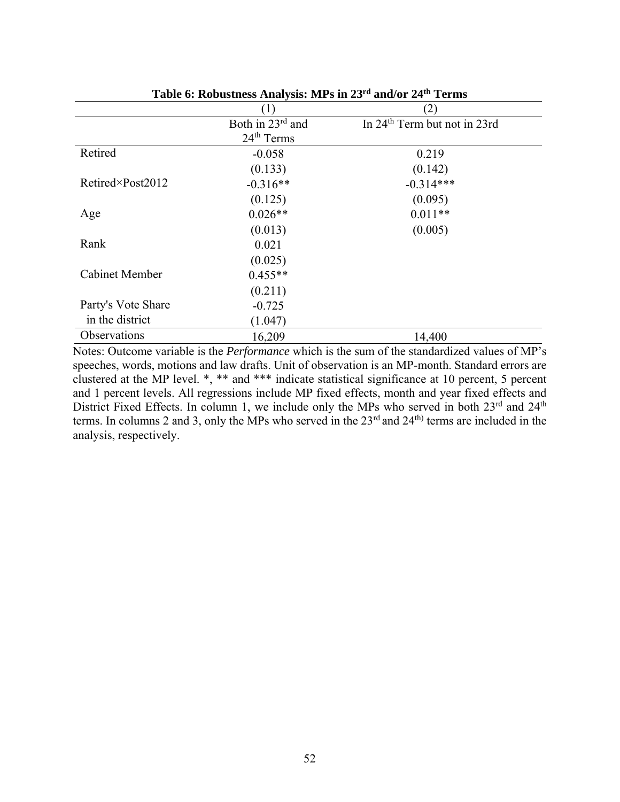|                          | (1)                    | (2)                                      |
|--------------------------|------------------------|------------------------------------------|
|                          | Both in 23rd and       | In 24 <sup>th</sup> Term but not in 23rd |
|                          | 24 <sup>th</sup> Terms |                                          |
| Retired                  | $-0.058$               | 0.219                                    |
|                          | (0.133)                | (0.142)                                  |
| $Retired\times Post2012$ | $-0.316**$             | $-0.314***$                              |
|                          | (0.125)                | (0.095)                                  |
| Age                      | $0.026**$              | $0.011**$                                |
|                          | (0.013)                | (0.005)                                  |
| Rank                     | 0.021                  |                                          |
|                          | (0.025)                |                                          |
| <b>Cabinet Member</b>    | $0.455**$              |                                          |
|                          | (0.211)                |                                          |
| Party's Vote Share       | $-0.725$               |                                          |
| in the district          | (1.047)                |                                          |
| Observations             | 16,209                 | 14,400                                   |

**Table 6: Robustness Analysis: MPs in 23rd and/or 24th Terms** 

Notes: Outcome variable is the *Performance* which is the sum of the standardized values of MP's speeches, words, motions and law drafts. Unit of observation is an MP-month. Standard errors are clustered at the MP level. \*, \*\* and \*\*\* indicate statistical significance at 10 percent, 5 percent and 1 percent levels. All regressions include MP fixed effects, month and year fixed effects and District Fixed Effects. In column 1, we include only the MPs who served in both 23<sup>rd</sup> and 24<sup>th</sup> terms. In columns 2 and 3, only the MPs who served in the 23<sup>rd</sup> and 24<sup>th)</sup> terms are included in the analysis, respectively.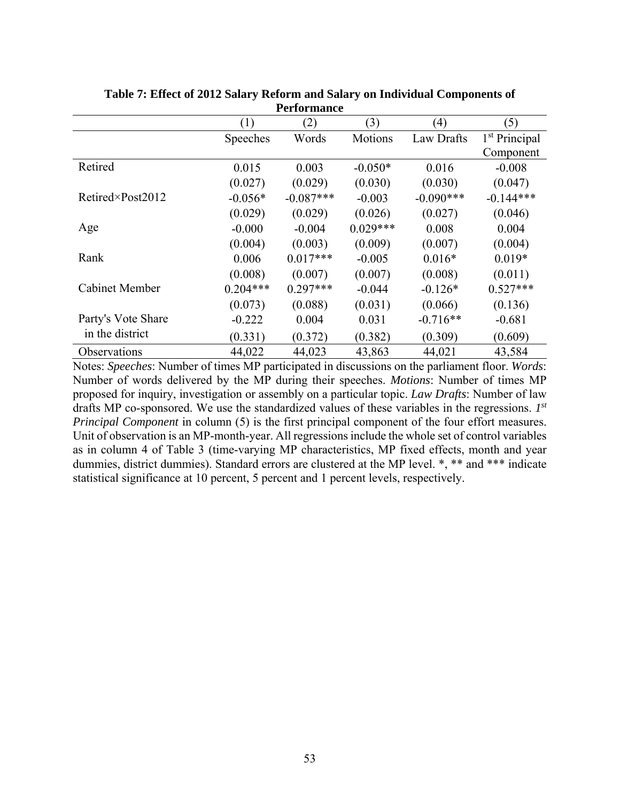|                          | (1)        | (2)         | (3)        | (4)         | (5)                       |
|--------------------------|------------|-------------|------------|-------------|---------------------------|
|                          | Speeches   | Words       | Motions    | Law Drafts  | 1 <sup>st</sup> Principal |
|                          |            |             |            |             | Component                 |
| Retired                  | 0.015      | 0.003       | $-0.050*$  | 0.016       | $-0.008$                  |
|                          | (0.027)    | (0.029)     | (0.030)    | (0.030)     | (0.047)                   |
| $Retired\times Post2012$ | $-0.056*$  | $-0.087***$ | $-0.003$   | $-0.090***$ | $-0.144***$               |
|                          | (0.029)    | (0.029)     | (0.026)    | (0.027)     | (0.046)                   |
| Age                      | $-0.000$   | $-0.004$    | $0.029***$ | 0.008       | 0.004                     |
|                          | (0.004)    | (0.003)     | (0.009)    | (0.007)     | (0.004)                   |
| Rank                     | 0.006      | $0.017***$  | $-0.005$   | $0.016*$    | $0.019*$                  |
|                          | (0.008)    | (0.007)     | (0.007)    | (0.008)     | (0.011)                   |
| Cabinet Member           | $0.204***$ | $0.297***$  | $-0.044$   | $-0.126*$   | $0.527***$                |
|                          | (0.073)    | (0.088)     | (0.031)    | (0.066)     | (0.136)                   |
| Party's Vote Share       | $-0.222$   | 0.004       | 0.031      | $-0.716**$  | $-0.681$                  |
| in the district          | (0.331)    | (0.372)     | (0.382)    | (0.309)     | (0.609)                   |
| <b>Observations</b>      | 44,022     | 44,023      | 43,863     | 44,021      | 43,584                    |

**Table 7: Effect of 2012 Salary Reform and Salary on Individual Components of Performance** 

Notes: *Speeches*: Number of times MP participated in discussions on the parliament floor. *Words*: Number of words delivered by the MP during their speeches. *Motions*: Number of times MP proposed for inquiry, investigation or assembly on a particular topic. *Law Drafts*: Number of law drafts MP co-sponsored. We use the standardized values of these variables in the regressions. *1st Principal Component* in column (5) is the first principal component of the four effort measures. Unit of observation is an MP-month-year. All regressions include the whole set of control variables as in column 4 of Table 3 (time-varying MP characteristics, MP fixed effects, month and year dummies, district dummies). Standard errors are clustered at the MP level. \*, \*\* and \*\*\* indicate statistical significance at 10 percent, 5 percent and 1 percent levels, respectively.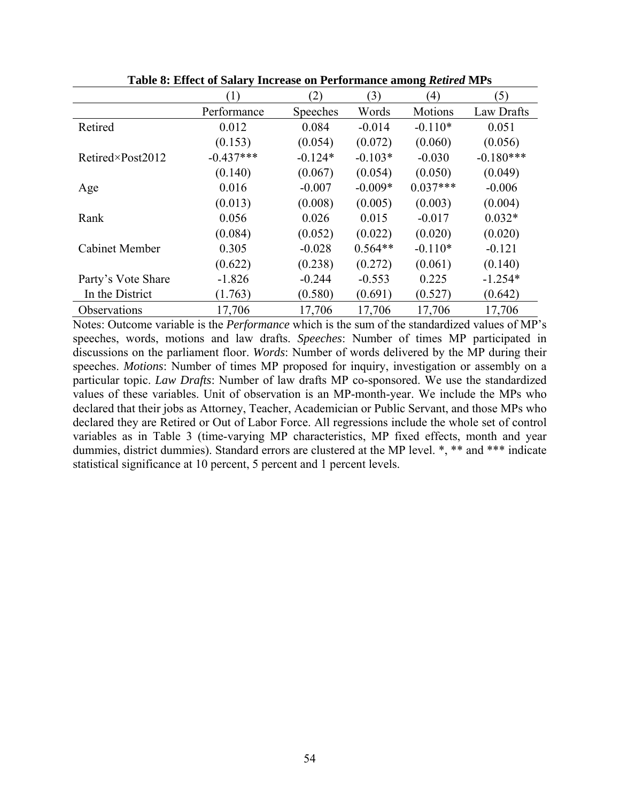|                          |                  |           |           | o              |             |
|--------------------------|------------------|-----------|-----------|----------------|-------------|
|                          | $\left(1\right)$ | (2)       | (3)       | (4)            | (5)         |
|                          | Performance      | Speeches  | Words     | <b>Motions</b> | Law Drafts  |
| Retired                  | 0.012            | 0.084     | $-0.014$  | $-0.110*$      | 0.051       |
|                          | (0.153)          | (0.054)   | (0.072)   | (0.060)        | (0.056)     |
| $Retired\times Post2012$ | $-0.437***$      | $-0.124*$ | $-0.103*$ | $-0.030$       | $-0.180***$ |
|                          | (0.140)          | (0.067)   | (0.054)   | (0.050)        | (0.049)     |
| Age                      | 0.016            | $-0.007$  | $-0.009*$ | $0.037***$     | $-0.006$    |
|                          | (0.013)          | (0.008)   | (0.005)   | (0.003)        | (0.004)     |
| Rank                     | 0.056            | 0.026     | 0.015     | $-0.017$       | $0.032*$    |
|                          | (0.084)          | (0.052)   | (0.022)   | (0.020)        | (0.020)     |
| <b>Cabinet Member</b>    | 0.305            | $-0.028$  | $0.564**$ | $-0.110*$      | $-0.121$    |
|                          | (0.622)          | (0.238)   | (0.272)   | (0.061)        | (0.140)     |
| Party's Vote Share       | $-1.826$         | $-0.244$  | $-0.553$  | 0.225          | $-1.254*$   |
| In the District          | (1.763)          | (0.580)   | (0.691)   | (0.527)        | (0.642)     |
| Observations             | 17,706           | 17,706    | 17,706    | 17,706         | 17,706      |

**Table 8: Effect of Salary Increase on Performance among** *Retired* **MPs** 

Notes: Outcome variable is the *Performance* which is the sum of the standardized values of MP's speeches, words, motions and law drafts. *Speeches*: Number of times MP participated in discussions on the parliament floor. *Words*: Number of words delivered by the MP during their speeches. *Motions*: Number of times MP proposed for inquiry, investigation or assembly on a particular topic. *Law Drafts*: Number of law drafts MP co-sponsored. We use the standardized values of these variables. Unit of observation is an MP-month-year. We include the MPs who declared that their jobs as Attorney, Teacher, Academician or Public Servant, and those MPs who declared they are Retired or Out of Labor Force. All regressions include the whole set of control variables as in Table 3 (time-varying MP characteristics, MP fixed effects, month and year dummies, district dummies). Standard errors are clustered at the MP level. \*, \*\* and \*\*\* indicate statistical significance at 10 percent, 5 percent and 1 percent levels.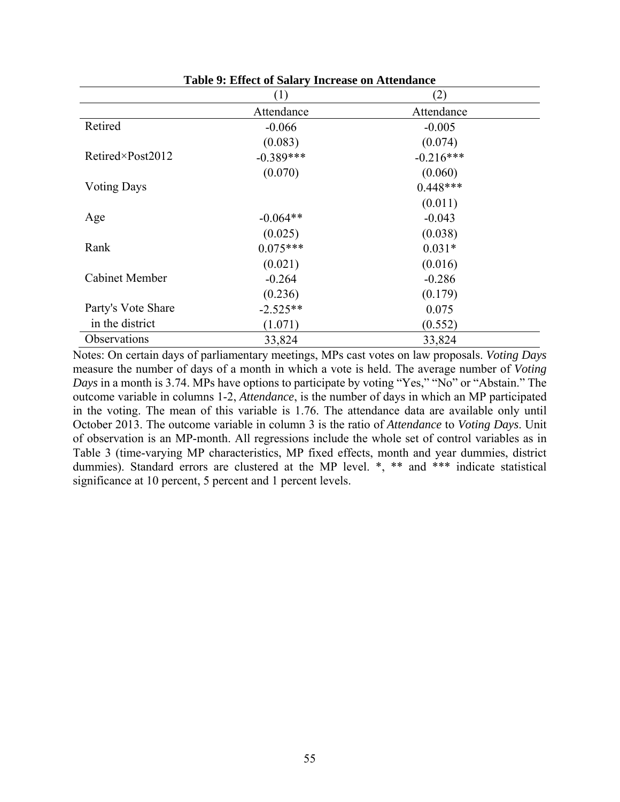| Table 2. Effect of Salary Hiclease on Attenualice |             |             |  |  |  |  |
|---------------------------------------------------|-------------|-------------|--|--|--|--|
|                                                   | (1)         | (2)         |  |  |  |  |
|                                                   | Attendance  | Attendance  |  |  |  |  |
| Retired                                           | $-0.066$    | $-0.005$    |  |  |  |  |
|                                                   | (0.083)     | (0.074)     |  |  |  |  |
| Retired×Post2012                                  | $-0.389***$ | $-0.216***$ |  |  |  |  |
|                                                   | (0.070)     | (0.060)     |  |  |  |  |
| <b>Voting Days</b>                                |             | $0.448***$  |  |  |  |  |
|                                                   |             | (0.011)     |  |  |  |  |
| Age                                               | $-0.064**$  | $-0.043$    |  |  |  |  |
|                                                   | (0.025)     | (0.038)     |  |  |  |  |
| Rank                                              | $0.075***$  | $0.031*$    |  |  |  |  |
|                                                   | (0.021)     | (0.016)     |  |  |  |  |
| <b>Cabinet Member</b>                             | $-0.264$    | $-0.286$    |  |  |  |  |
|                                                   | (0.236)     | (0.179)     |  |  |  |  |
| Party's Vote Share                                | $-2.525**$  | 0.075       |  |  |  |  |
| in the district                                   | (1.071)     | (0.552)     |  |  |  |  |
| Observations                                      | 33,824      | 33,824      |  |  |  |  |

**Table 9: Effect of Salary Increase on Attendance** 

Notes: On certain days of parliamentary meetings, MPs cast votes on law proposals. *Voting Days*  measure the number of days of a month in which a vote is held. The average number of *Voting Days* in a month is 3.74. MPs have options to participate by voting "Yes," "No" or "Abstain." The outcome variable in columns 1-2, *Attendance*, is the number of days in which an MP participated in the voting. The mean of this variable is 1.76. The attendance data are available only until October 2013. The outcome variable in column 3 is the ratio of *Attendance* to *Voting Days*. Unit of observation is an MP-month. All regressions include the whole set of control variables as in Table 3 (time-varying MP characteristics, MP fixed effects, month and year dummies, district dummies). Standard errors are clustered at the MP level. \*, \*\* and \*\*\* indicate statistical significance at 10 percent, 5 percent and 1 percent levels.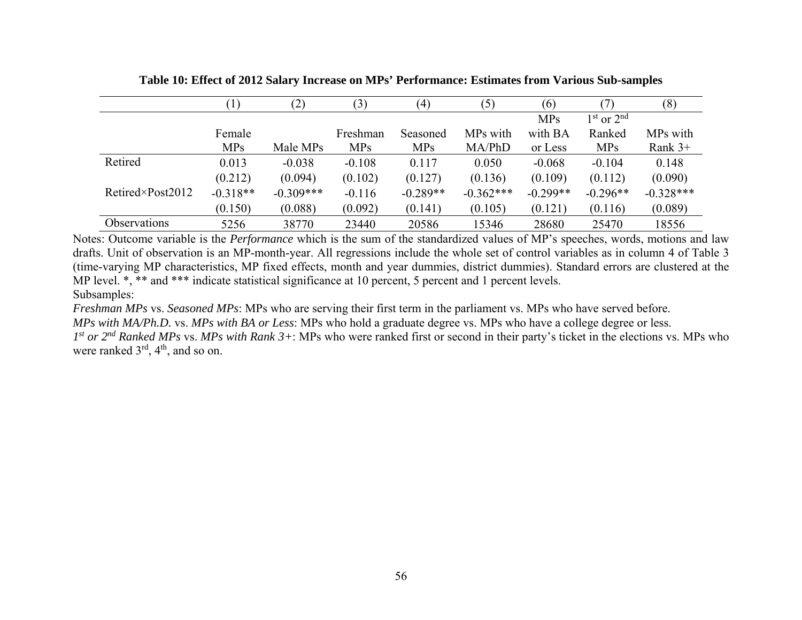|                          | $\left(1\right)$ | (2)         | (3)        | $\left( 4\right)$ | (5)         | (6)        |                | (8)         |
|--------------------------|------------------|-------------|------------|-------------------|-------------|------------|----------------|-------------|
|                          |                  |             |            |                   |             | <b>MPs</b> | $1st$ or $2nd$ |             |
|                          | Female           |             | Freshman   | Seasoned          | MPs with    | with BA    | Ranked         | MPs with    |
|                          | <b>MPs</b>       | Male MPs    | <b>MPs</b> | <b>MPs</b>        | MA/PhD      | or Less    | <b>MPs</b>     | Rank $3+$   |
| Retired                  | 0.013            | $-0.038$    | $-0.108$   | 0.117             | 0.050       | $-0.068$   | $-0.104$       | 0.148       |
|                          | (0.212)          | (0.094)     | (0.102)    | (0.127)           | (0.136)     | (0.109)    | (0.112)        | (0.090)     |
| $Retired\times Post2012$ | $-0.318**$       | $-0.309***$ | $-0.116$   | $-0.289**$        | $-0.362***$ | $-0.299**$ | $-0.296**$     | $-0.328***$ |
|                          | (0.150)          | (0.088)     | (0.092)    | (0.141)           | (0.105)     | (0.121)    | (0.116)        | (0.089)     |
| Observations             | 5256             | 38770       | 23440      | 20586             | 15346       | 28680      | 25470          | 18556       |

**Table 10: Effect of 2012 Salary Increase on MPs' Performance: Estimates from Various Sub-samples** 

Notes: Outcome variable is the *Performance* which is the sum of the standardized values of MP's speeches, words, motions and law drafts. Unit of observation is an MP-month-year. All regressions include the whole set of control variables as in column 4 of Table 3 (time-varying MP characteristics, MP fixed effects, month and year dummies, district dummies). Standard errors are clustered at the MP level.  $\ast$ ,  $\ast\ast$  and  $\ast\ast\ast$  indicate statistical significance at 10 percent, 5 percent and 1 percent levels. Subsamples:

*Freshman MPs* vs. *Seasoned MPs*: MPs who are serving their first term in the parliament vs. MPs who have served before. *MPs with MA/Ph.D.* vs. *MPs with BA or Less*: MPs who hold a graduate degree vs. MPs who have a college degree or less. *1st or 2nd Ranked MPs* vs. *MPs with Rank 3+*: MPs who were ranked first or second in their party's ticket in the elections vs. MPs who were ranked  $3<sup>rd</sup>$ ,  $4<sup>th</sup>$ , and so on.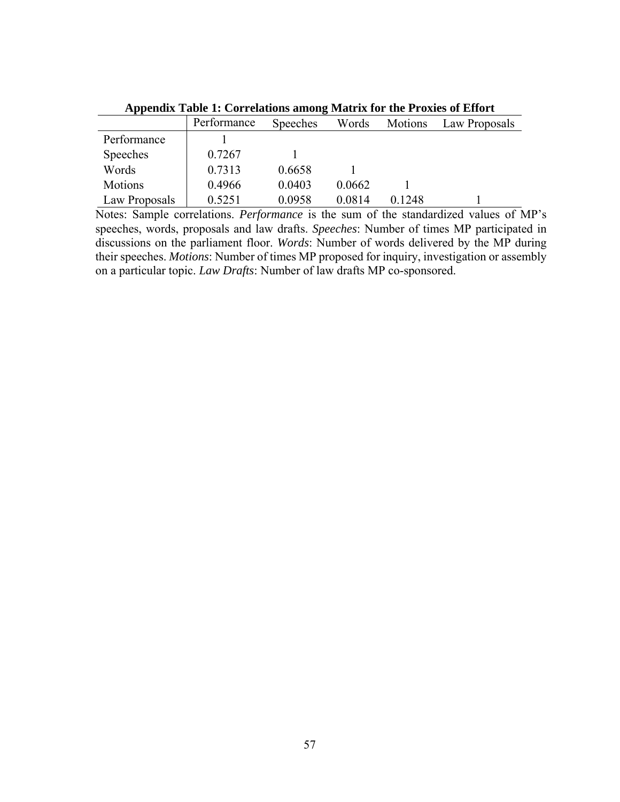|                | Performance | <b>Speeches</b> | Words  | <b>Motions</b> | Law Proposals |
|----------------|-------------|-----------------|--------|----------------|---------------|
| Performance    |             |                 |        |                |               |
| Speeches       | 0.7267      |                 |        |                |               |
| Words          | 0.7313      | 0.6658          |        |                |               |
| <b>Motions</b> | 0.4966      | 0.0403          | 0.0662 |                |               |
| Law Proposals  | 0.5251      | 0.0958          | 0.0814 | 0.1248         |               |

**Appendix Table 1: Correlations among Matrix for the Proxies of Effort** 

Notes: Sample correlations. *Performance* is the sum of the standardized values of MP's speeches, words, proposals and law drafts. *Speeches*: Number of times MP participated in discussions on the parliament floor. *Words*: Number of words delivered by the MP during their speeches. *Motions*: Number of times MP proposed for inquiry, investigation or assembly on a particular topic. *Law Drafts*: Number of law drafts MP co-sponsored.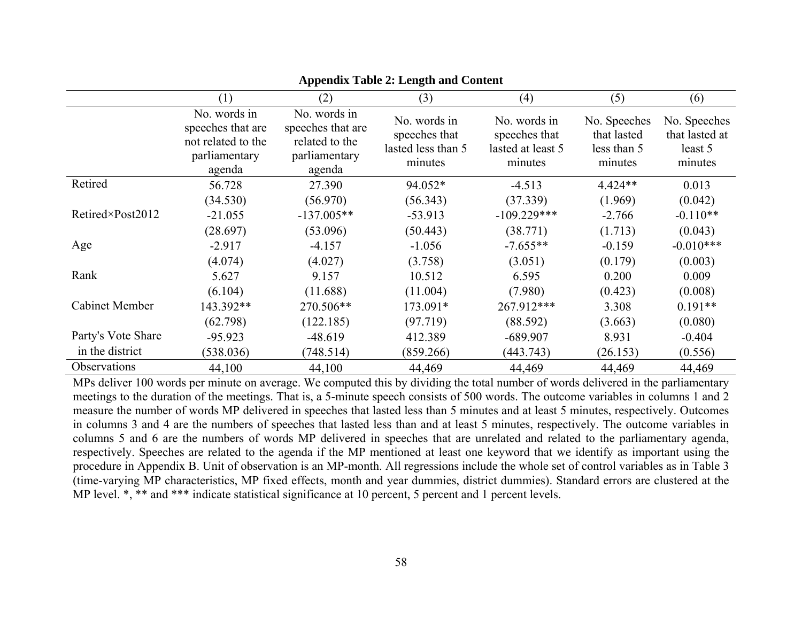|                       | (1)                                                                                | (2)                                                                            | (3)                                                            | (4)                                                           | (5)                                                   | (6)                                                  |
|-----------------------|------------------------------------------------------------------------------------|--------------------------------------------------------------------------------|----------------------------------------------------------------|---------------------------------------------------------------|-------------------------------------------------------|------------------------------------------------------|
|                       | No. words in<br>speeches that are<br>not related to the<br>parliamentary<br>agenda | No. words in<br>speeches that are<br>related to the<br>parliamentary<br>agenda | No. words in<br>speeches that<br>lasted less than 5<br>minutes | No. words in<br>speeches that<br>lasted at least 5<br>minutes | No. Speeches<br>that lasted<br>less than 5<br>minutes | No. Speeches<br>that lasted at<br>least 5<br>minutes |
| Retired               | 56.728                                                                             | 27.390                                                                         | 94.052*                                                        | $-4.513$                                                      | $4.424**$                                             | 0.013                                                |
|                       | (34.530)                                                                           | (56.970)                                                                       | (56.343)                                                       | (37.339)                                                      | (1.969)                                               | (0.042)                                              |
| Retired×Post2012      | $-21.055$                                                                          | $-137.005**$                                                                   | $-53.913$                                                      | $-109.229***$                                                 | $-2.766$                                              | $-0.110**$                                           |
|                       | (28.697)                                                                           | (53.096)                                                                       | (50.443)                                                       | (38.771)                                                      | (1.713)                                               | (0.043)                                              |
| Age                   | $-2.917$                                                                           | $-4.157$                                                                       | $-1.056$                                                       | $-7.655**$                                                    | $-0.159$                                              | $-0.010***$                                          |
|                       | (4.074)                                                                            | (4.027)                                                                        | (3.758)                                                        | (3.051)                                                       | (0.179)                                               | (0.003)                                              |
| Rank                  | 5.627                                                                              | 9.157                                                                          | 10.512                                                         | 6.595                                                         | 0.200                                                 | 0.009                                                |
|                       | (6.104)                                                                            | (11.688)                                                                       | (11.004)                                                       | (7.980)                                                       | (0.423)                                               | (0.008)                                              |
| <b>Cabinet Member</b> | 143.392**                                                                          | 270.506**                                                                      | 173.091*                                                       | 267.912***                                                    | 3.308                                                 | $0.191**$                                            |
|                       | (62.798)                                                                           | (122.185)                                                                      | (97.719)                                                       | (88.592)                                                      | (3.663)                                               | (0.080)                                              |
| Party's Vote Share    | $-95.923$                                                                          | $-48.619$                                                                      | 412.389                                                        | $-689.907$                                                    | 8.931                                                 | $-0.404$                                             |
| in the district       | (538.036)                                                                          | (748.514)                                                                      | (859.266)                                                      | (443.743)                                                     | (26.153)                                              | (0.556)                                              |
| Observations          | 44,100                                                                             | 44,100                                                                         | 44,469                                                         | 44,469                                                        | 44,469                                                | 44,469                                               |

# **Appendix Table 2: Length and Content**

MPs deliver 100 words per minute on average. We computed this by dividing the total number of words delivered in the parliamentary meetings to the duration of the meetings. That is, a 5-minute speech consists of 500 words. The outcome variables in columns 1 and 2 measure the number of words MP delivered in speeches that lasted less than 5 minutes and at least 5 minutes, respectively. Outcomes in columns 3 and 4 are the numbers of speeches that lasted less than and at least 5 minutes, respectively. The outcome variables in columns 5 and 6 are the numbers of words MP delivered in speeches that are unrelated and related to the parliamentary agenda, respectively. Speeches are related to the agenda if the MP mentioned at least one keyword that we identify as important using the procedure in Appendix B. Unit of observation is an MP-month. All regressions include the whole set of control variables as in Table 3 (time-varying MP characteristics, MP fixed effects, month and year dummies, district dummies). Standard errors are clustered at the MP level.  $*,$  \*\* and \*\*\* indicate statistical significance at 10 percent, 5 percent and 1 percent levels.